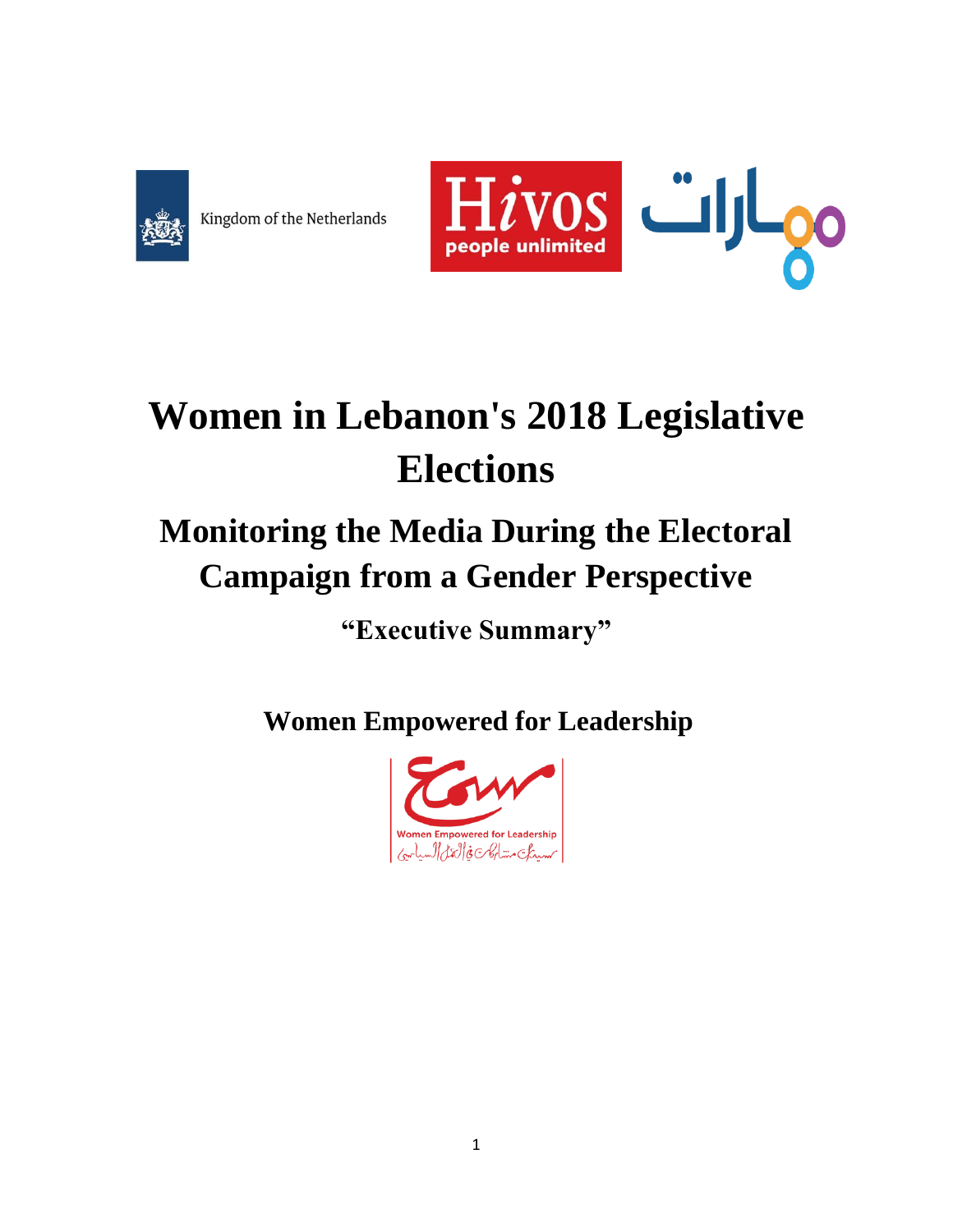

Kingdom of the Netherlands



# **Women in Lebanon's 2018 Legislative Elections**

## **Monitoring the Media During the Electoral Campaign from a Gender Perspective**

**"Executive Summary"**

**Women Empowered for Leadership**

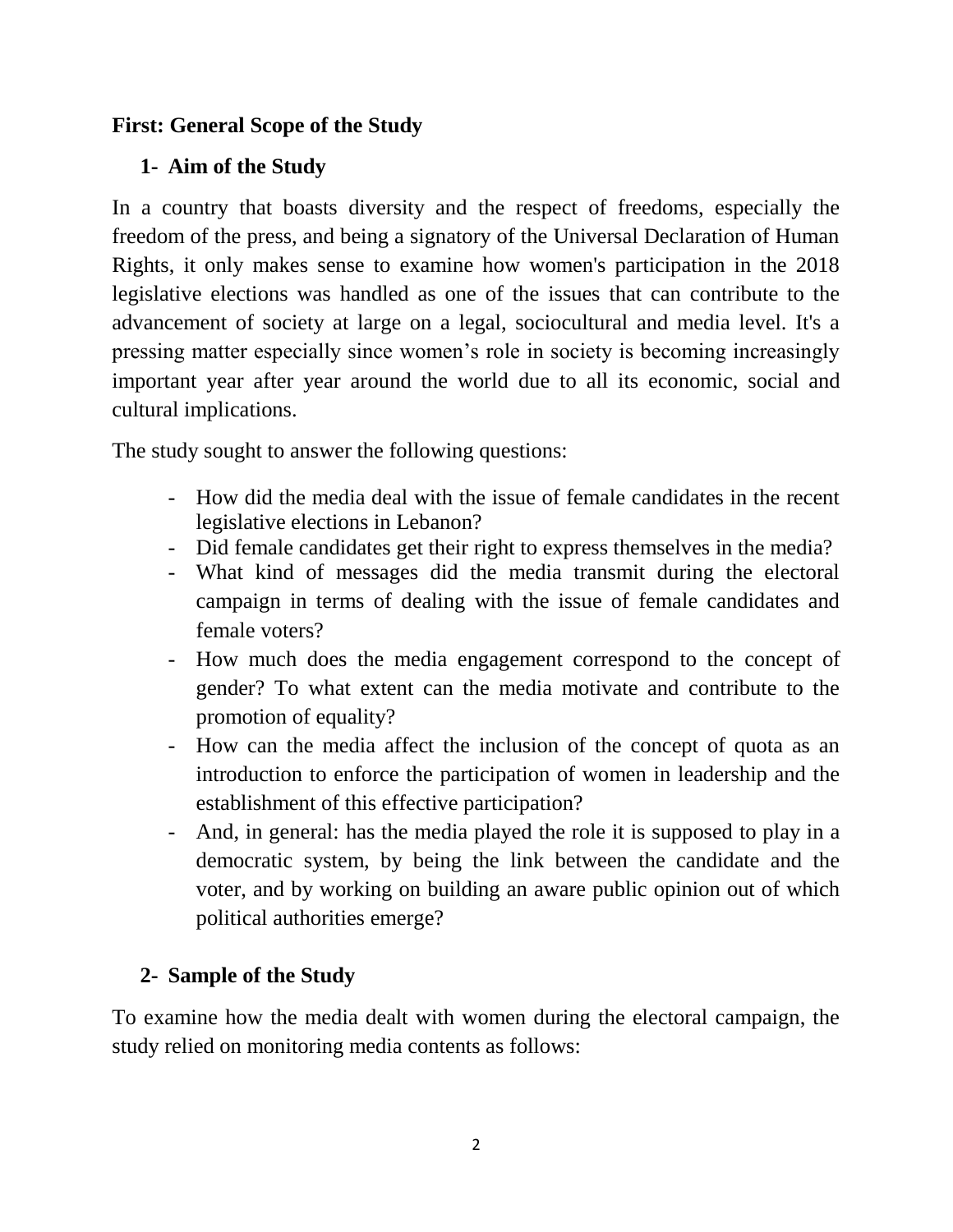#### **First: General Scope of the Study**

#### **1- Aim of the Study**

In a country that boasts diversity and the respect of freedoms, especially the freedom of the press, and being a signatory of the Universal Declaration of Human Rights, it only makes sense to examine how women's participation in the 2018 legislative elections was handled as one of the issues that can contribute to the advancement of society at large on a legal, sociocultural and media level. It's a pressing matter especially since women's role in society is becoming increasingly important year after year around the world due to all its economic, social and cultural implications.

The study sought to answer the following questions:

- How did the media deal with the issue of female candidates in the recent legislative elections in Lebanon?
- Did female candidates get their right to express themselves in the media?
- What kind of messages did the media transmit during the electoral campaign in terms of dealing with the issue of female candidates and female voters?
- How much does the media engagement correspond to the concept of gender? To what extent can the media motivate and contribute to the promotion of equality?
- How can the media affect the inclusion of the concept of quota as an introduction to enforce the participation of women in leadership and the establishment of this effective participation?
- And, in general: has the media played the role it is supposed to play in a democratic system, by being the link between the candidate and the voter, and by working on building an aware public opinion out of which political authorities emerge?

## **2- Sample of the Study**

To examine how the media dealt with women during the electoral campaign, the study relied on monitoring media contents as follows: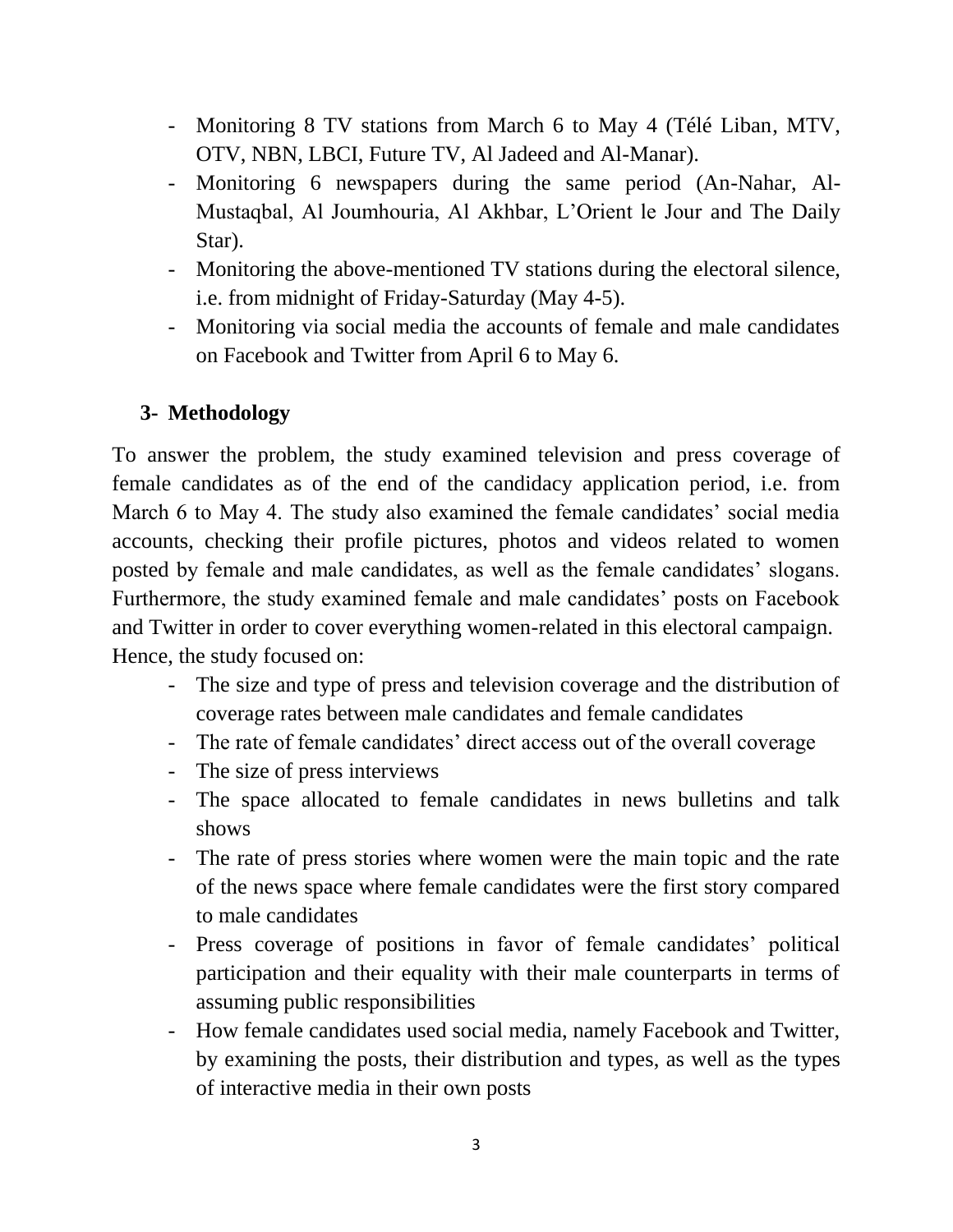- Monitoring 8 TV stations from March 6 to May 4 (Télé Liban, MTV, OTV, NBN, LBCI, Future TV, Al Jadeed and Al-Manar).
- Monitoring 6 newspapers during the same period (An-Nahar, Al-Mustaqbal, Al Joumhouria, Al Akhbar, L'Orient le Jour and The Daily Star).
- Monitoring the above-mentioned TV stations during the electoral silence, i.e. from midnight of Friday-Saturday (May 4-5).
- Monitoring via social media the accounts of female and male candidates on Facebook and Twitter from April 6 to May 6.

#### **3- Methodology**

To answer the problem, the study examined television and press coverage of female candidates as of the end of the candidacy application period, i.e. from March 6 to May 4. The study also examined the female candidates' social media accounts, checking their profile pictures, photos and videos related to women posted by female and male candidates, as well as the female candidates' slogans. Furthermore, the study examined female and male candidates' posts on Facebook and Twitter in order to cover everything women-related in this electoral campaign. Hence, the study focused on:

- The size and type of press and television coverage and the distribution of coverage rates between male candidates and female candidates
- The rate of female candidates' direct access out of the overall coverage
- The size of press interviews
- The space allocated to female candidates in news bulletins and talk shows
- The rate of press stories where women were the main topic and the rate of the news space where female candidates were the first story compared to male candidates
- Press coverage of positions in favor of female candidates' political participation and their equality with their male counterparts in terms of assuming public responsibilities
- How female candidates used social media, namely Facebook and Twitter, by examining the posts, their distribution and types, as well as the types of interactive media in their own posts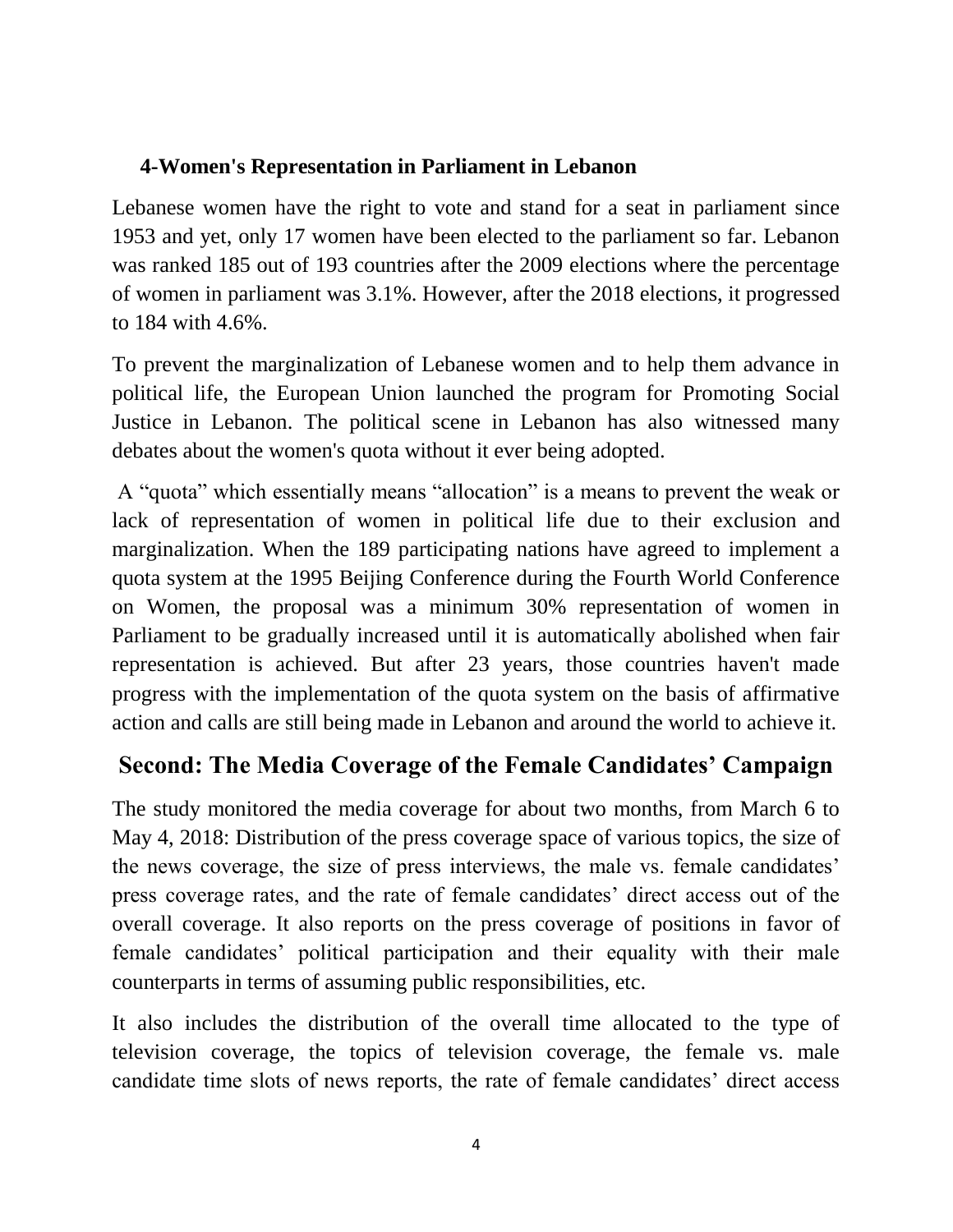#### **4-Women's Representation in Parliament in Lebanon**

Lebanese women have the right to vote and stand for a seat in parliament since 1953 and yet, only 17 women have been elected to the parliament so far. Lebanon was ranked 185 out of 193 countries after the 2009 elections where the percentage of women in parliament was 3.1%. However, after the 2018 elections, it progressed to 184 with 4.6%.

To prevent the marginalization of Lebanese women and to help them advance in political life, the European Union launched the program for Promoting Social Justice in Lebanon. The political scene in Lebanon has also witnessed many debates about the women's quota without it ever being adopted.

A "quota" which essentially means "allocation" is a means to prevent the weak or lack of representation of women in political life due to their exclusion and marginalization. When the 189 participating nations have agreed to implement a quota system at the 1995 Beijing Conference during the Fourth World Conference on Women, the proposal was a minimum 30% representation of women in Parliament to be gradually increased until it is automatically abolished when fair representation is achieved. But after 23 years, those countries haven't made progress with the implementation of the quota system on the basis of affirmative action and calls are still being made in Lebanon and around the world to achieve it.

## **Second: The Media Coverage of the Female Candidates' Campaign**

The study monitored the media coverage for about two months, from March 6 to May 4, 2018: Distribution of the press coverage space of various topics, the size of the news coverage, the size of press interviews, the male vs. female candidates' press coverage rates, and the rate of female candidates' direct access out of the overall coverage. It also reports on the press coverage of positions in favor of female candidates' political participation and their equality with their male counterparts in terms of assuming public responsibilities, etc.

It also includes the distribution of the overall time allocated to the type of television coverage, the topics of television coverage, the female vs. male candidate time slots of news reports, the rate of female candidates' direct access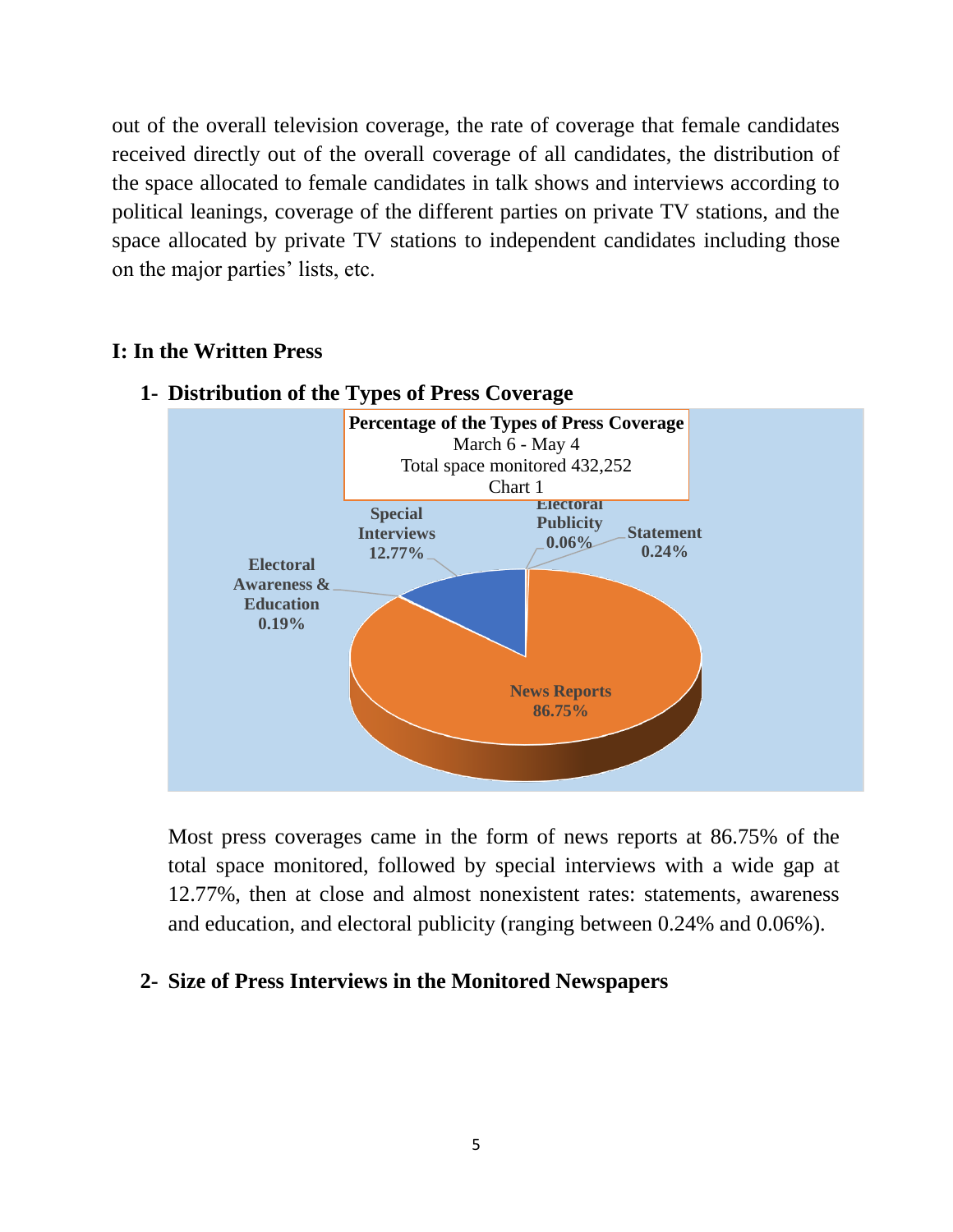out of the overall television coverage, the rate of coverage that female candidates received directly out of the overall coverage of all candidates, the distribution of the space allocated to female candidates in talk shows and interviews according to political leanings, coverage of the different parties on private TV stations, and the space allocated by private TV stations to independent candidates including those on the major parties' lists, etc.

#### **I: In the Written Press**



#### **1- Distribution of the Types of Press Coverage**

Most press coverages came in the form of news reports at 86.75% of the total space monitored, followed by special interviews with a wide gap at 12.77%, then at close and almost nonexistent rates: statements, awareness and education, and electoral publicity (ranging between 0.24% and 0.06%).

#### **2- Size of Press Interviews in the Monitored Newspapers**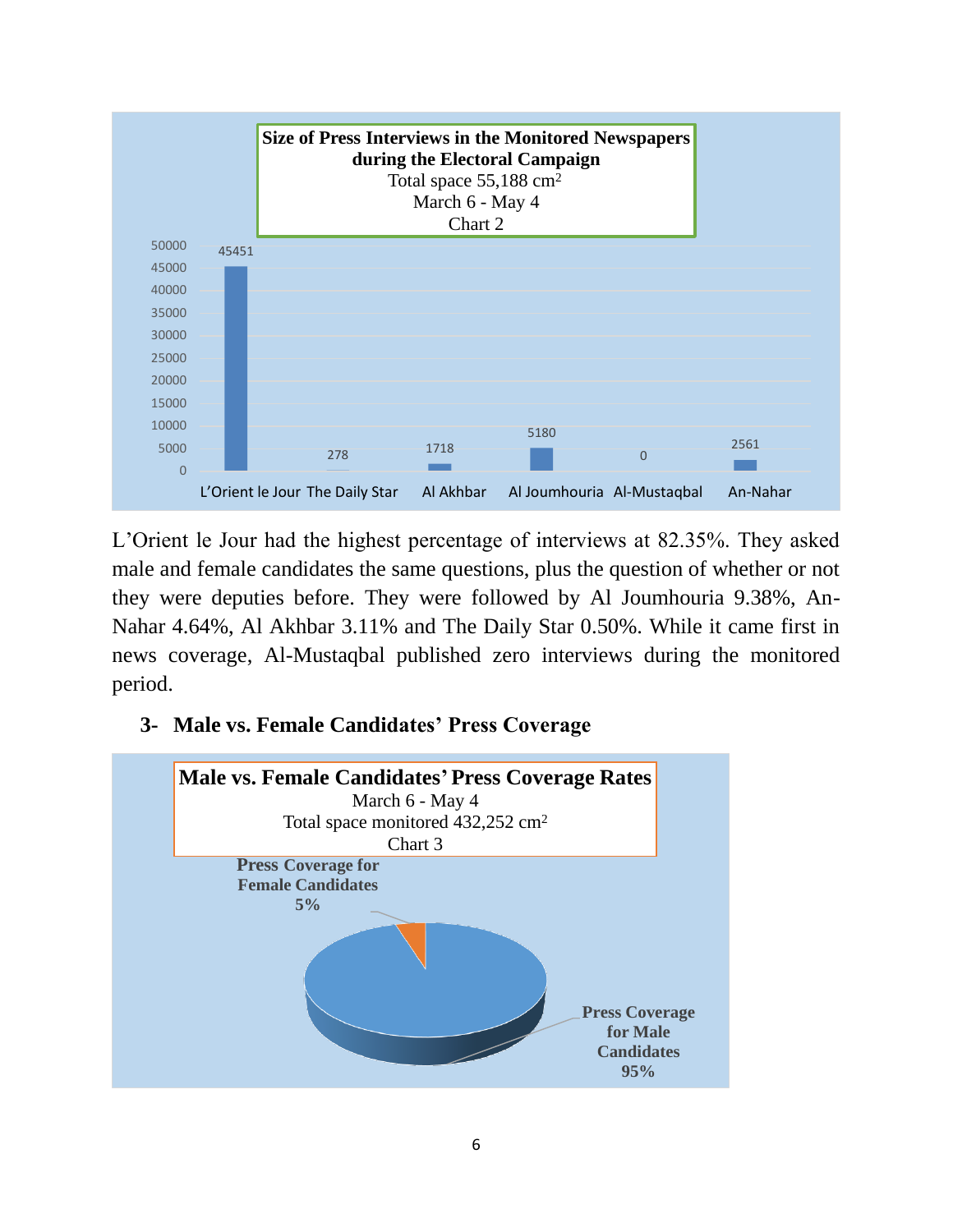

L'Orient le Jour had the highest percentage of interviews at 82.35%. They asked male and female candidates the same questions, plus the question of whether or not they were deputies before. They were followed by Al Joumhouria 9.38%, An-Nahar 4.64%, Al Akhbar 3.11% and The Daily Star 0.50%. While it came first in news coverage, Al-Mustaqbal published zero interviews during the monitored period.

#### **3- Male vs. Female Candidates' Press Coverage**

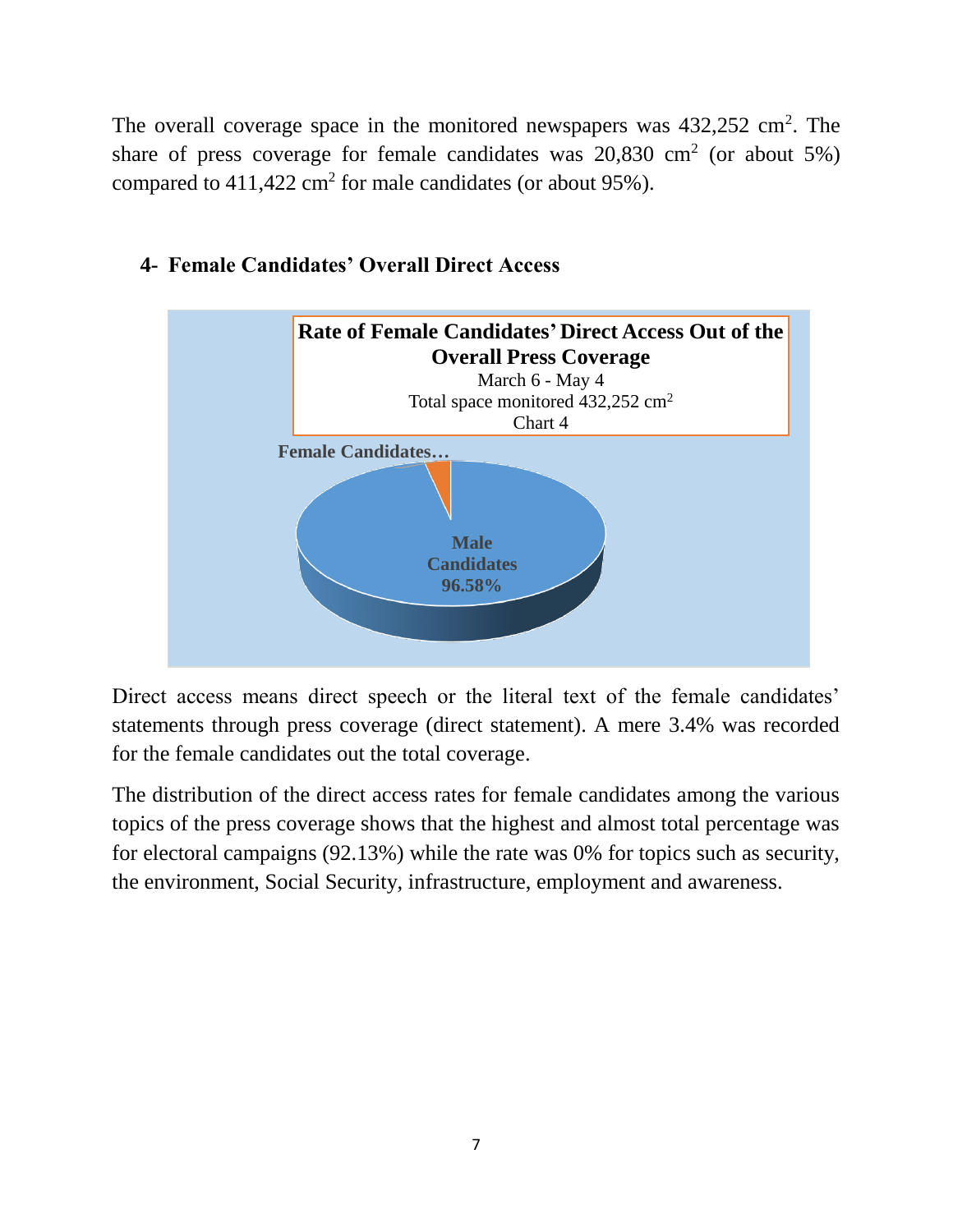The overall coverage space in the monitored newspapers was  $432,252$  cm<sup>2</sup>. The share of press coverage for female candidates was  $20,830$  cm<sup>2</sup> (or about 5%) compared to  $411,422$  cm<sup>2</sup> for male candidates (or about 95%).





Direct access means direct speech or the literal text of the female candidates' statements through press coverage (direct statement). A mere 3.4% was recorded for the female candidates out the total coverage.

The distribution of the direct access rates for female candidates among the various topics of the press coverage shows that the highest and almost total percentage was for electoral campaigns (92.13%) while the rate was 0% for topics such as security, the environment, Social Security, infrastructure, employment and awareness.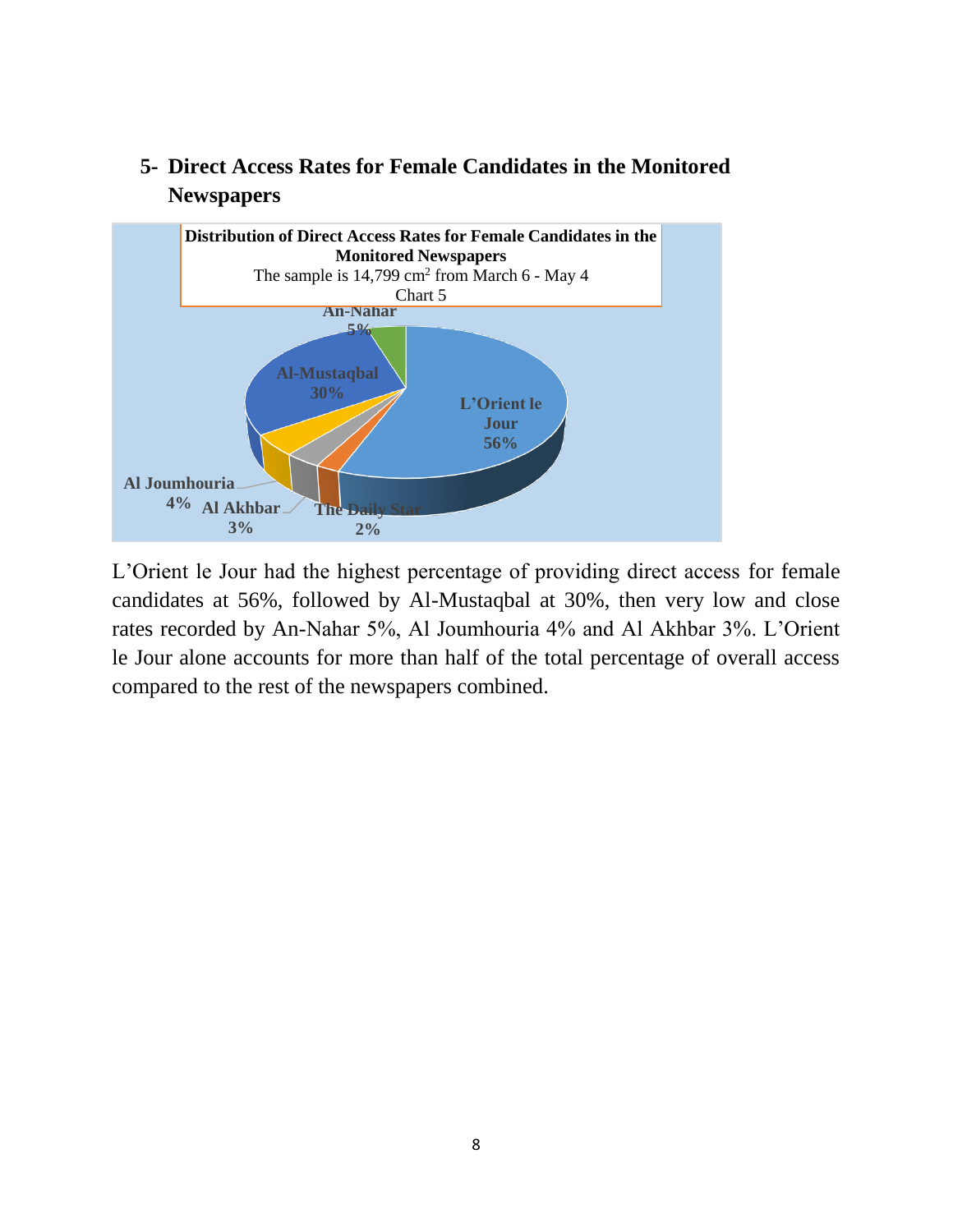



L'Orient le Jour had the highest percentage of providing direct access for female candidates at 56%, followed by Al-Mustaqbal at 30%, then very low and close rates recorded by An-Nahar 5%, Al Joumhouria 4% and Al Akhbar 3%. L'Orient le Jour alone accounts for more than half of the total percentage of overall access compared to the rest of the newspapers combined.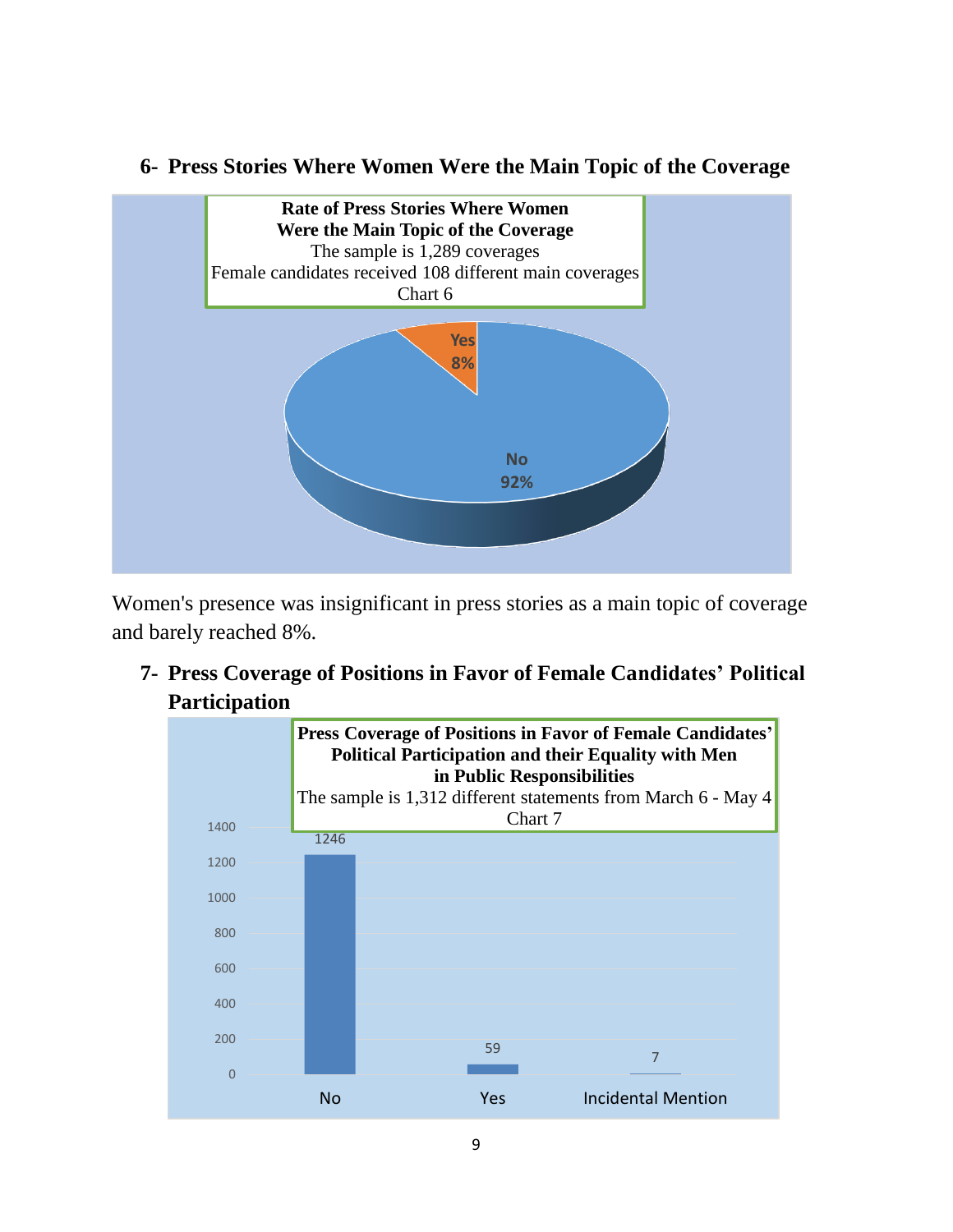#### **6- Press Stories Where Women Were the Main Topic of the Coverage**



Women's presence was insignificant in press stories as a main topic of coverage and barely reached 8%.

**7- Press Coverage of Positions in Favor of Female Candidates' Political Participation** 

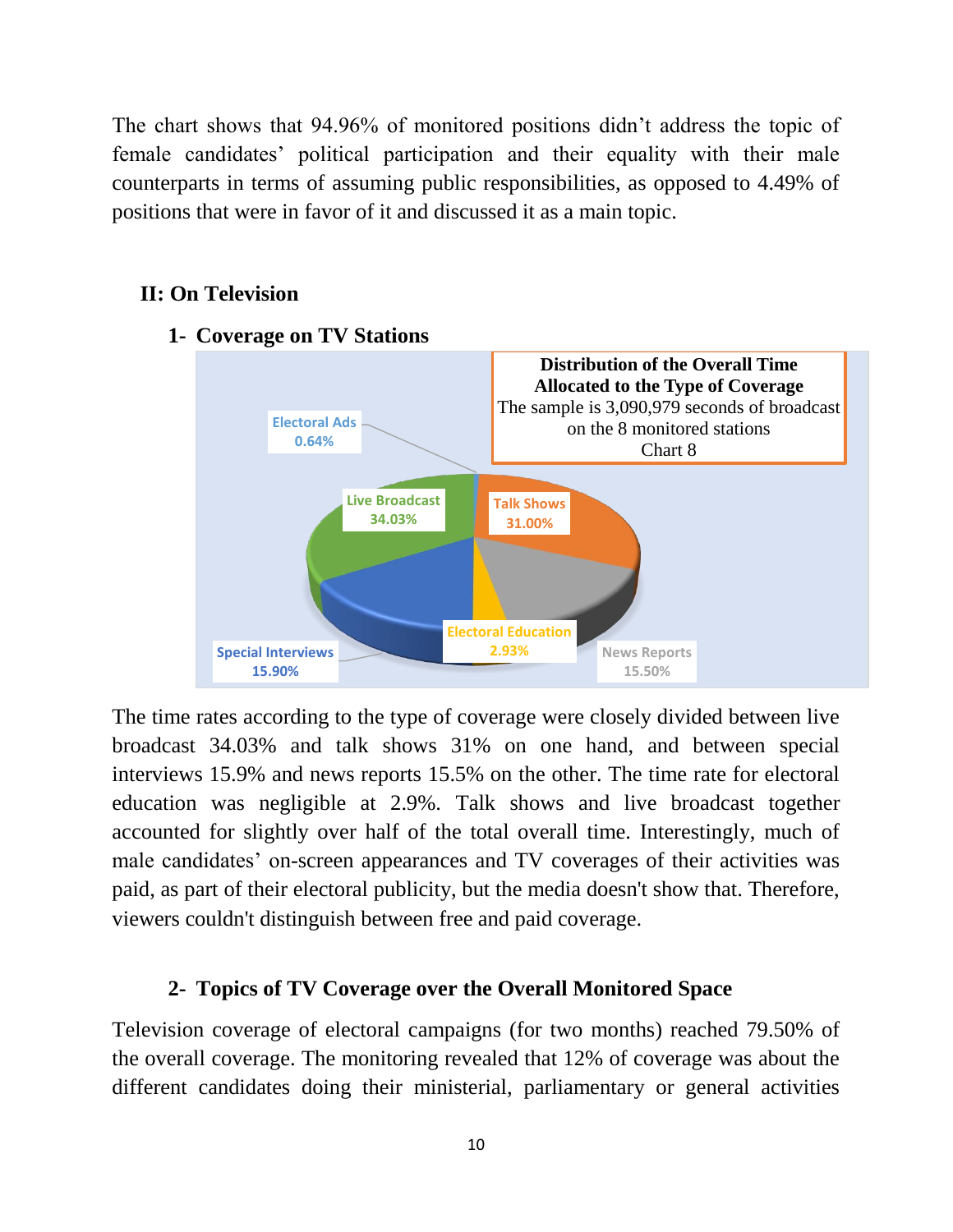The chart shows that 94.96% of monitored positions didn't address the topic of female candidates' political participation and their equality with their male counterparts in terms of assuming public responsibilities, as opposed to 4.49% of positions that were in favor of it and discussed it as a main topic.

#### **II: On Television**



**1- Coverage on TV Stations**

The time rates according to the type of coverage were closely divided between live broadcast 34.03% and talk shows 31% on one hand, and between special interviews 15.9% and news reports 15.5% on the other. The time rate for electoral education was negligible at 2.9%. Talk shows and live broadcast together accounted for slightly over half of the total overall time. Interestingly, much of male candidates' on-screen appearances and TV coverages of their activities was paid, as part of their electoral publicity, but the media doesn't show that. Therefore, viewers couldn't distinguish between free and paid coverage.

#### **2- Topics of TV Coverage over the Overall Monitored Space**

Television coverage of electoral campaigns (for two months) reached 79.50% of the overall coverage. The monitoring revealed that 12% of coverage was about the different candidates doing their ministerial, parliamentary or general activities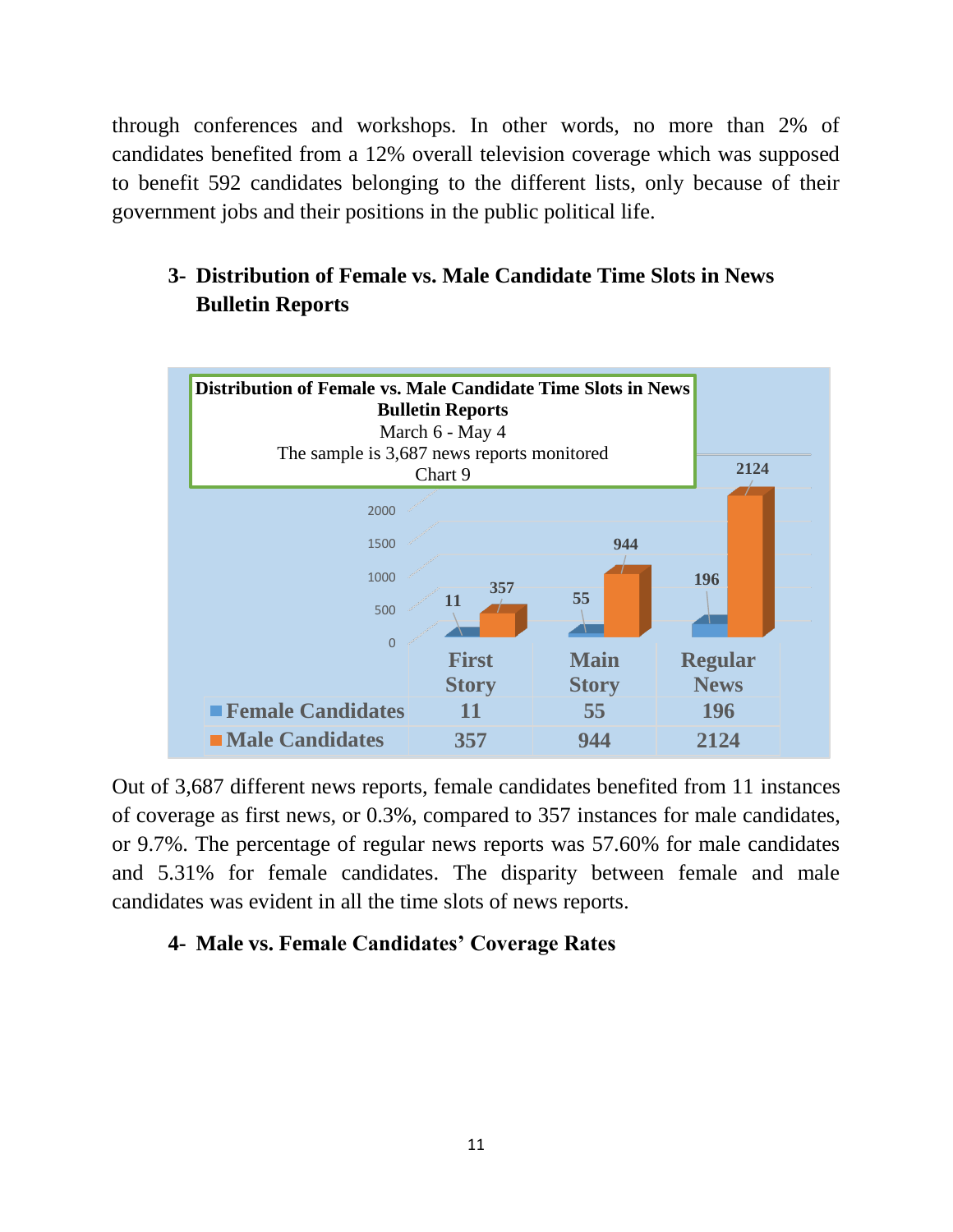through conferences and workshops. In other words, no more than 2% of candidates benefited from a 12% overall television coverage which was supposed to benefit 592 candidates belonging to the different lists, only because of their government jobs and their positions in the public political life.

## **3- Distribution of Female vs. Male Candidate Time Slots in News Bulletin Reports**



Out of 3,687 different news reports, female candidates benefited from 11 instances of coverage as first news, or 0.3%, compared to 357 instances for male candidates, or 9.7%. The percentage of regular news reports was 57.60% for male candidates and 5.31% for female candidates. The disparity between female and male candidates was evident in all the time slots of news reports.

#### **4- Male vs. Female Candidates' Coverage Rates**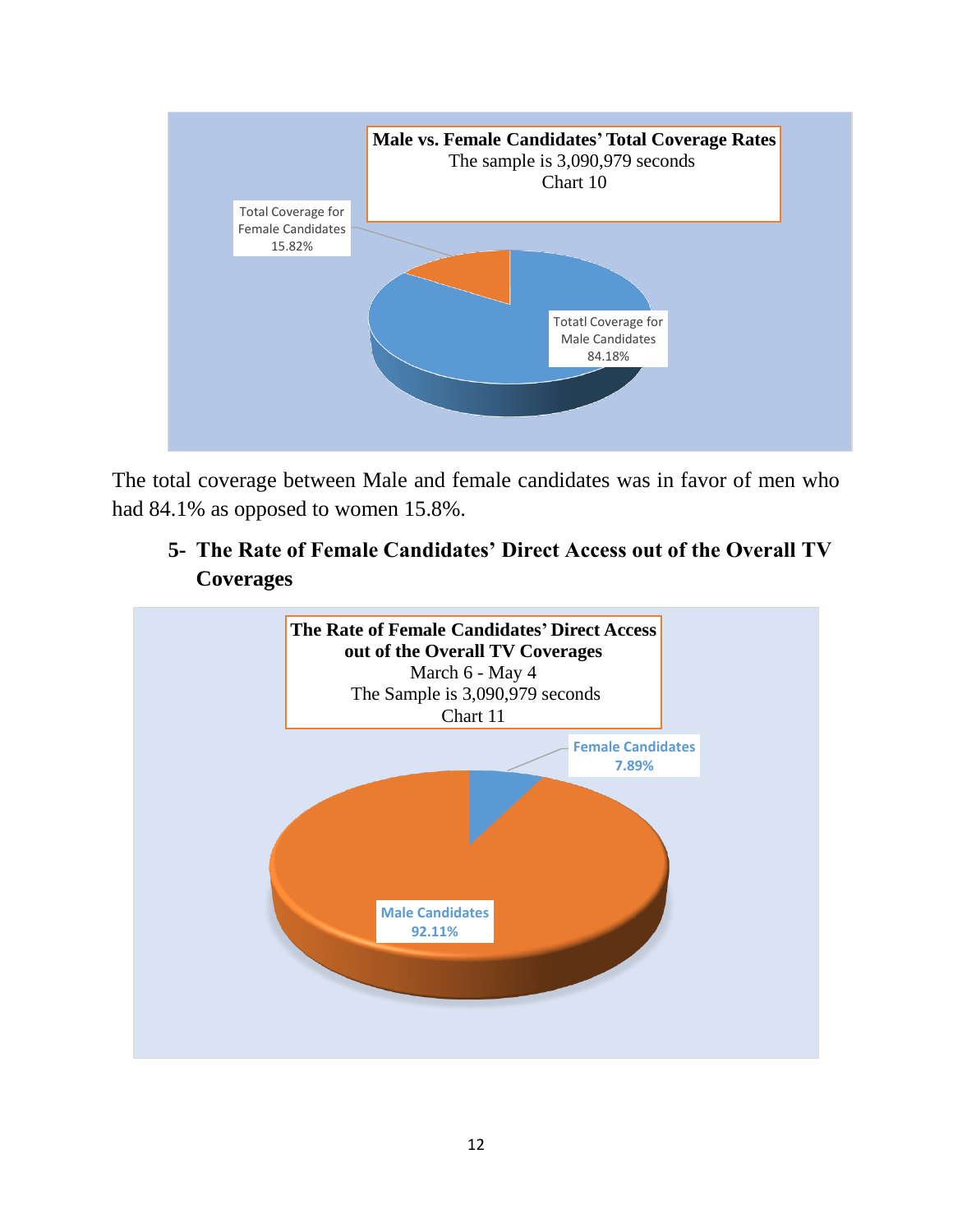

The total coverage between Male and female candidates was in favor of men who had 84.1% as opposed to women 15.8%.

## **5- The Rate of Female Candidates' Direct Access out of the Overall TV Coverages**

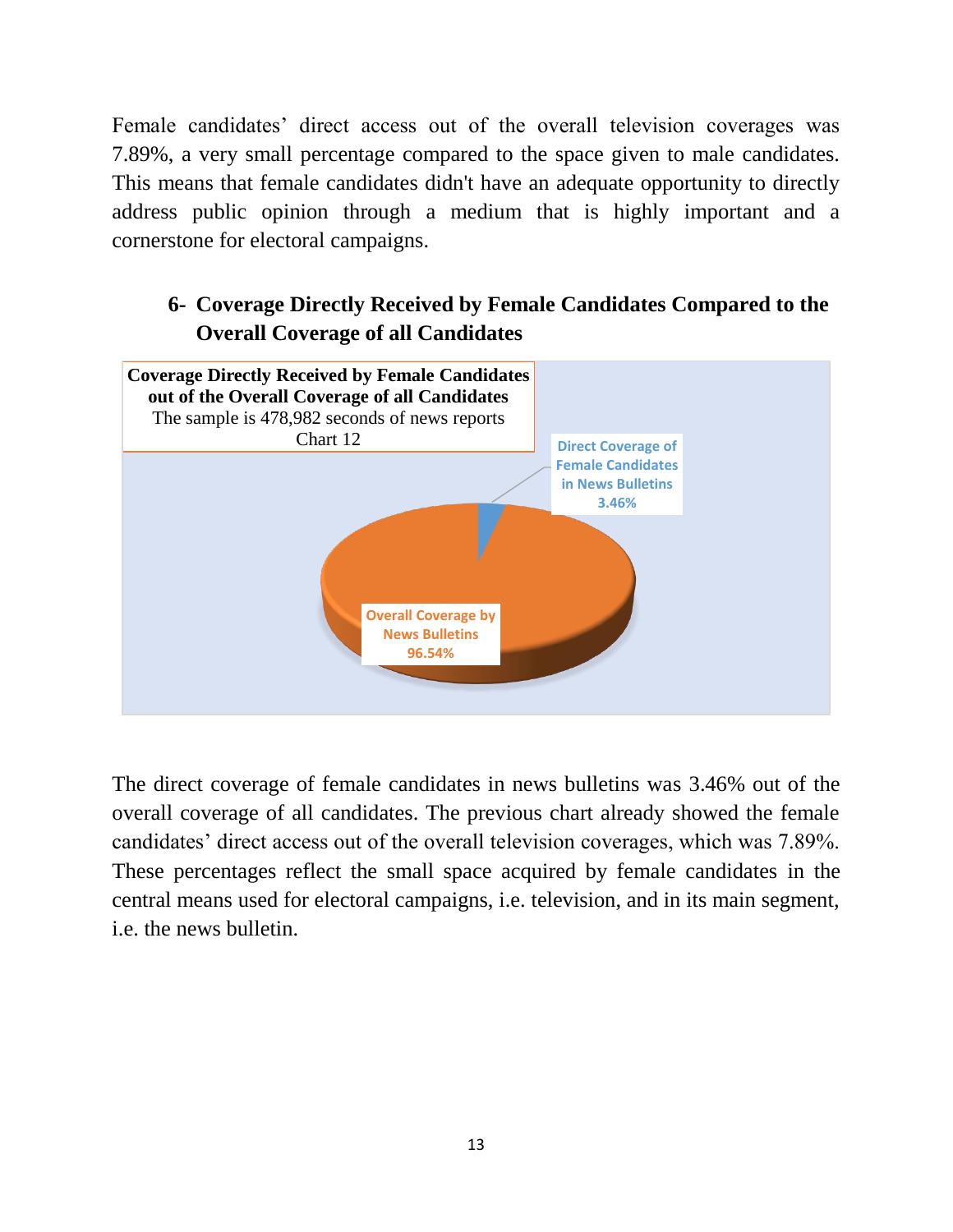Female candidates' direct access out of the overall television coverages was 7.89%, a very small percentage compared to the space given to male candidates. This means that female candidates didn't have an adequate opportunity to directly address public opinion through a medium that is highly important and a cornerstone for electoral campaigns.

## **6- Coverage Directly Received by Female Candidates Compared to the Overall Coverage of all Candidates**



The direct coverage of female candidates in news bulletins was 3.46% out of the overall coverage of all candidates. The previous chart already showed the female candidates' direct access out of the overall television coverages, which was 7.89%. These percentages reflect the small space acquired by female candidates in the central means used for electoral campaigns, i.e. television, and in its main segment, i.e. the news bulletin.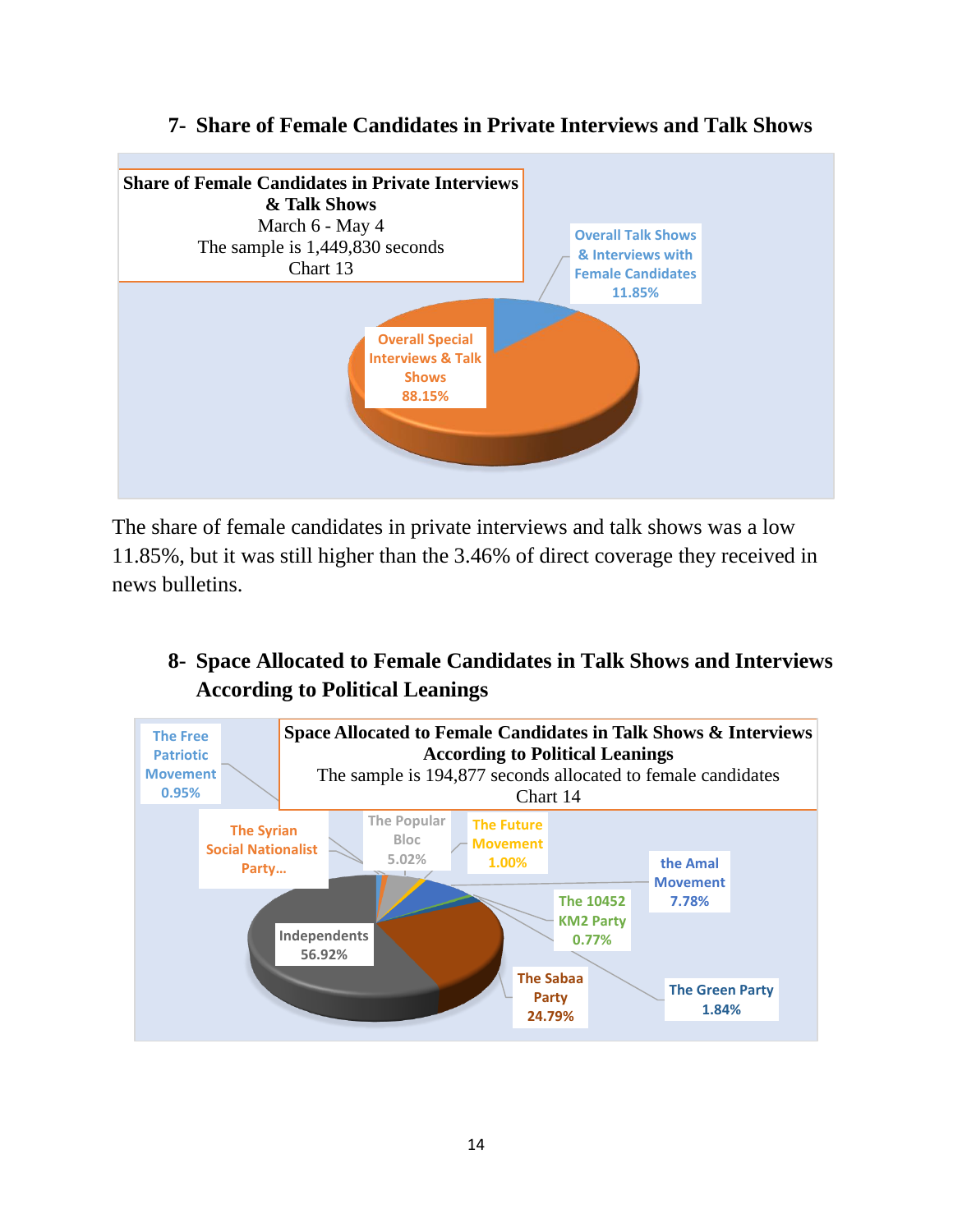

#### **7- Share of Female Candidates in Private Interviews and Talk Shows**

The share of female candidates in private interviews and talk shows was a low 11.85%, but it was still higher than the 3.46% of direct coverage they received in news bulletins.

## **8- Space Allocated to Female Candidates in Talk Shows and Interviews According to Political Leanings**

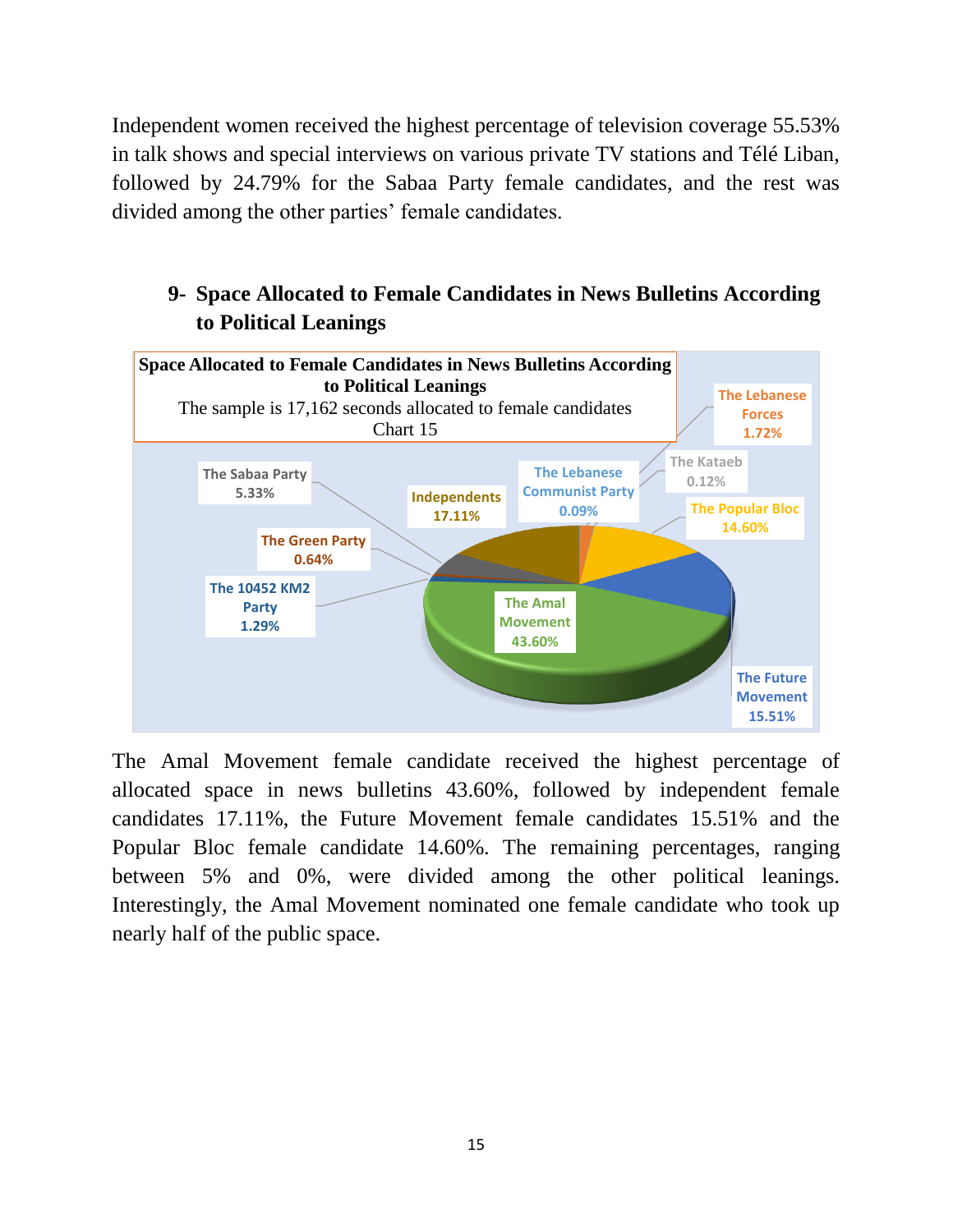Independent women received the highest percentage of television coverage 55.53% in talk shows and special interviews on various private TV stations and Télé Liban, followed by 24.79% for the Sabaa Party female candidates, and the rest was divided among the other parties' female candidates.

## **9- Space Allocated to Female Candidates in News Bulletins According to Political Leanings**



The Amal Movement female candidate received the highest percentage of allocated space in news bulletins 43.60%, followed by independent female candidates 17.11%, the Future Movement female candidates 15.51% and the Popular Bloc female candidate 14.60%. The remaining percentages, ranging between 5% and 0%, were divided among the other political leanings. Interestingly, the Amal Movement nominated one female candidate who took up nearly half of the public space.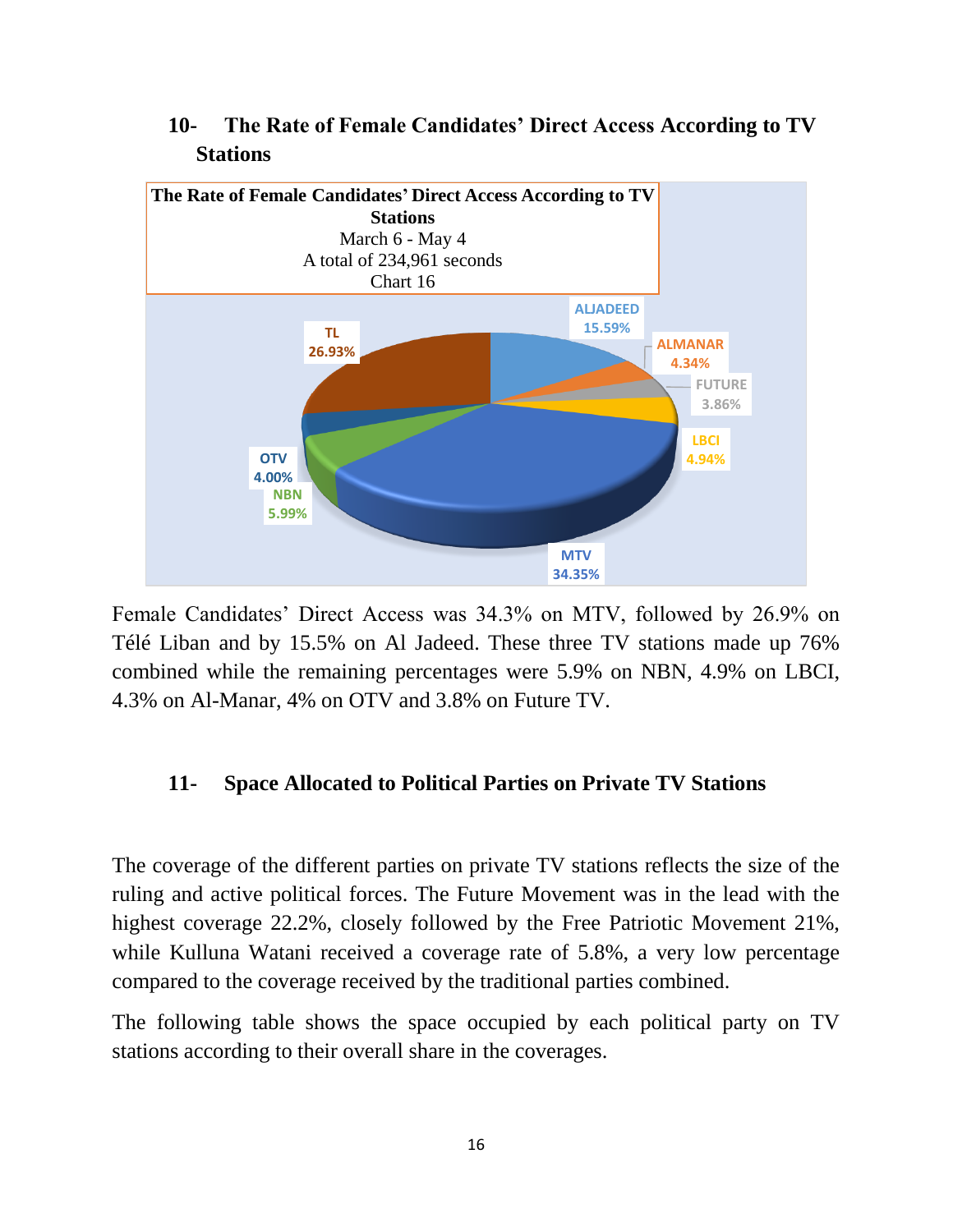

#### **10- The Rate of Female Candidates' Direct Access According to TV Stations**

Female Candidates' Direct Access was 34.3% on MTV, followed by 26.9% on Télé Liban and by 15.5% on Al Jadeed. These three TV stations made up 76% combined while the remaining percentages were 5.9% on NBN, 4.9% on LBCI, 4.3% on Al-Manar, 4% on OTV and 3.8% on Future TV.

#### **11- Space Allocated to Political Parties on Private TV Stations**

The coverage of the different parties on private TV stations reflects the size of the ruling and active political forces. The Future Movement was in the lead with the highest coverage 22.2%, closely followed by the Free Patriotic Movement 21%, while Kulluna Watani received a coverage rate of 5.8%, a very low percentage compared to the coverage received by the traditional parties combined.

The following table shows the space occupied by each political party on TV stations according to their overall share in the coverages.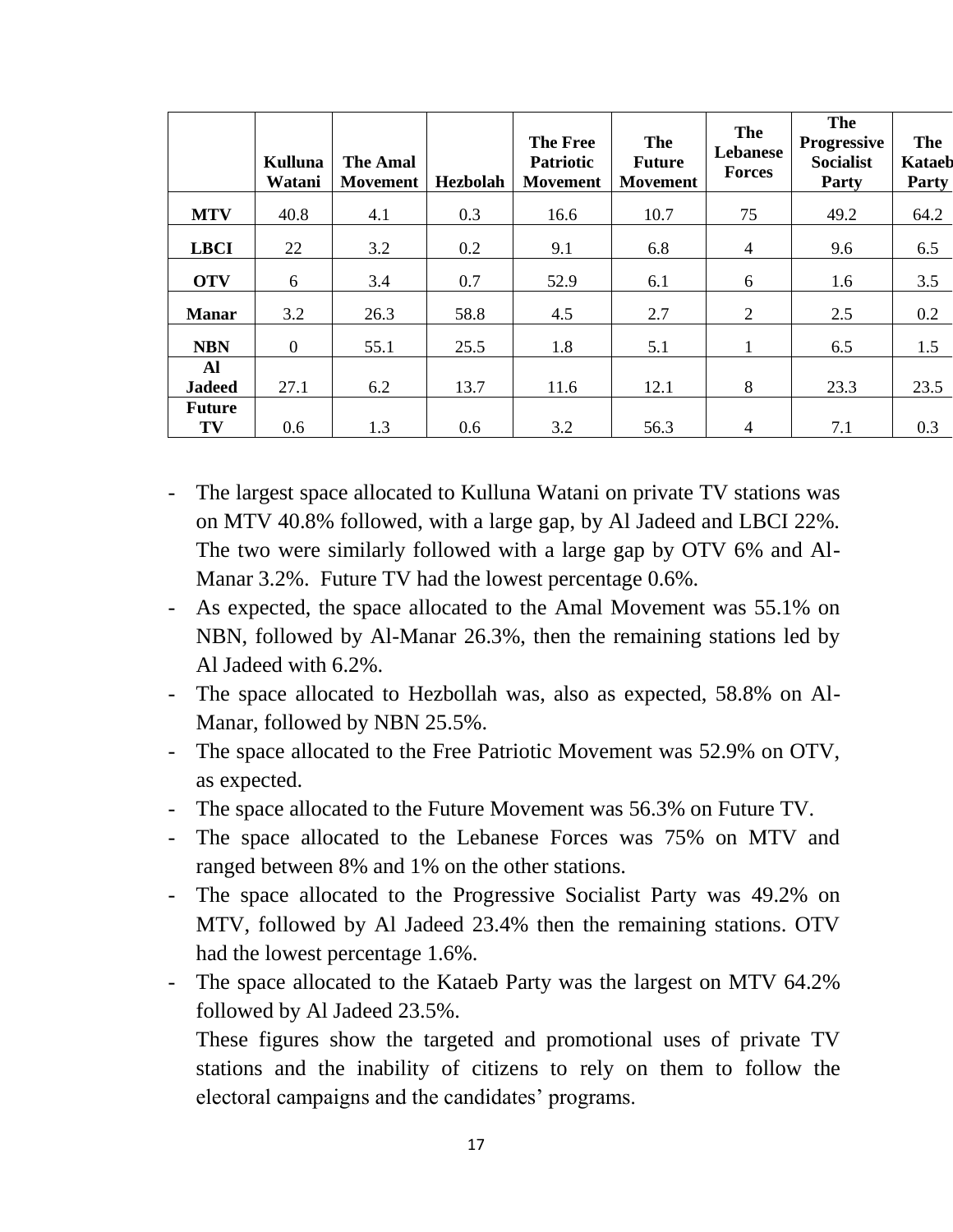|                     | <b>Kulluna</b><br>Watani | <b>The Amal</b><br><b>Movement</b> | Hezbolah | <b>The Free</b><br><b>Patriotic</b><br><b>Movement</b> | The<br><b>Future</b><br><b>Movement</b> | The<br>Lebanese<br><b>Forces</b> | The<br><b>Progressive</b><br><b>Socialist</b><br>Party | <b>The</b><br><b>Kataeb</b><br>Party |
|---------------------|--------------------------|------------------------------------|----------|--------------------------------------------------------|-----------------------------------------|----------------------------------|--------------------------------------------------------|--------------------------------------|
| <b>MTV</b>          | 40.8                     | 4.1                                | 0.3      | 16.6                                                   | 10.7                                    | 75                               | 49.2                                                   | 64.2                                 |
| <b>LBCI</b>         | 22                       | 3.2                                | 0.2      | 9.1                                                    | 6.8                                     | 4                                | 9.6                                                    | 6.5                                  |
| <b>OTV</b>          | 6                        | 3.4                                | 0.7      | 52.9                                                   | 6.1                                     | 6                                | 1.6                                                    | 3.5                                  |
| <b>Manar</b>        | 3.2                      | 26.3                               | 58.8     | 4.5                                                    | 2.7                                     | 2                                | 2.5                                                    | 0.2                                  |
| <b>NBN</b>          | $\overline{0}$           | 55.1                               | 25.5     | 1.8                                                    | 5.1                                     |                                  | 6.5                                                    | 1.5                                  |
| Al<br><b>Jadeed</b> | 27.1                     | 6.2                                | 13.7     | 11.6                                                   | 12.1                                    | 8                                | 23.3                                                   | 23.5                                 |
| <b>Future</b>       |                          |                                    |          |                                                        |                                         |                                  |                                                        |                                      |
| TV                  | 0.6                      | 1.3                                | 0.6      | 3.2                                                    | 56.3                                    | $\overline{4}$                   | 7.1                                                    | 0.3                                  |

- The largest space allocated to Kulluna Watani on private TV stations was on MTV 40.8% followed, with a large gap, by Al Jadeed and LBCI 22%. The two were similarly followed with a large gap by OTV 6% and Al-Manar 3.2%. Future TV had the lowest percentage 0.6%.
- As expected, the space allocated to the Amal Movement was 55.1% on NBN, followed by Al-Manar 26.3%, then the remaining stations led by Al Jadeed with 6.2%.
- The space allocated to Hezbollah was, also as expected, 58.8% on Al-Manar, followed by NBN 25.5%.
- The space allocated to the Free Patriotic Movement was 52.9% on OTV, as expected.
- The space allocated to the Future Movement was 56.3% on Future TV.
- The space allocated to the Lebanese Forces was 75% on MTV and ranged between 8% and 1% on the other stations.
- The space allocated to the Progressive Socialist Party was 49.2% on MTV, followed by Al Jadeed 23.4% then the remaining stations. OTV had the lowest percentage 1.6%.
- The space allocated to the Kataeb Party was the largest on MTV 64.2% followed by Al Jadeed 23.5%.

These figures show the targeted and promotional uses of private TV stations and the inability of citizens to rely on them to follow the electoral campaigns and the candidates' programs.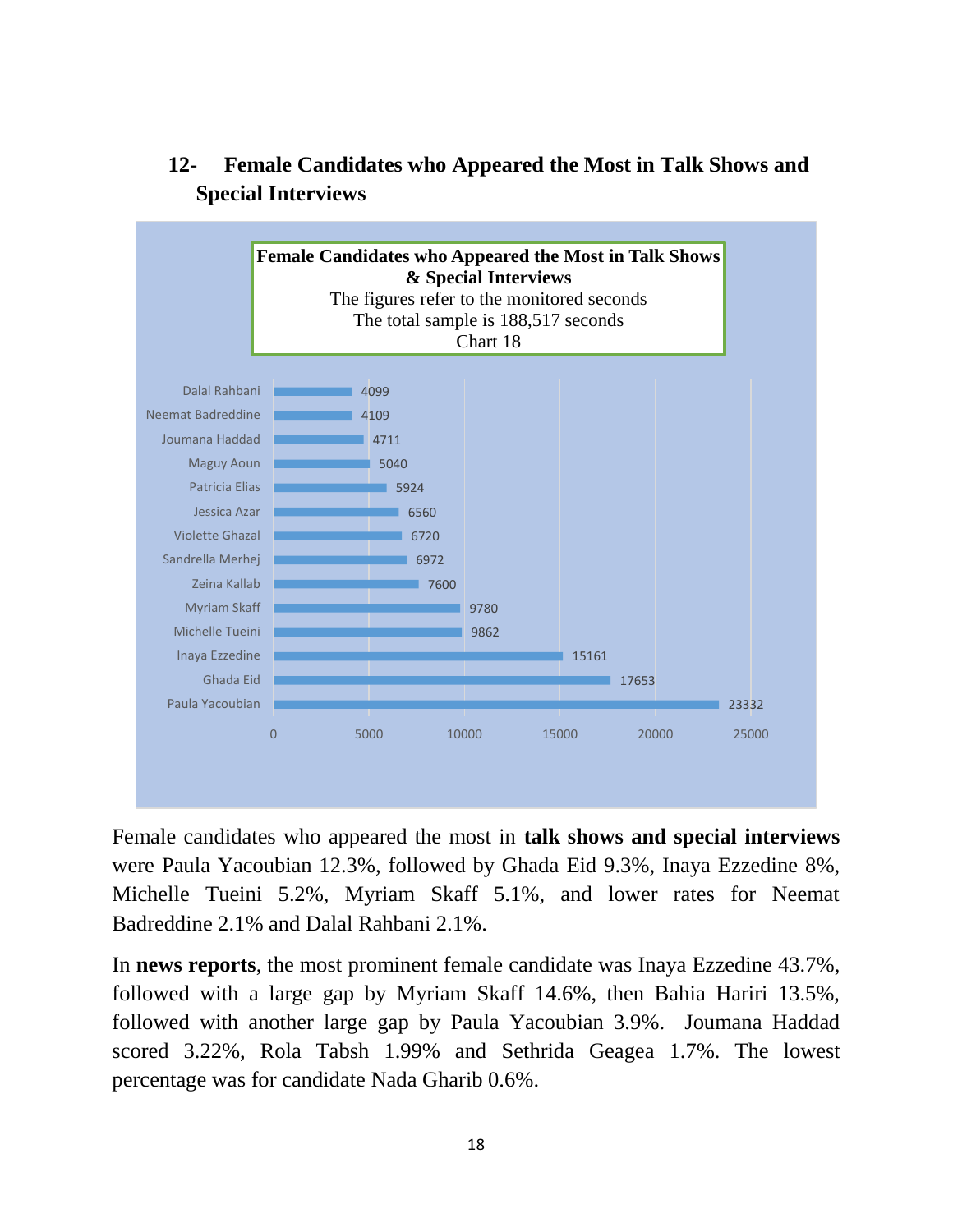

## **12- Female Candidates who Appeared the Most in Talk Shows and Special Interviews**

Female candidates who appeared the most in **talk shows and special interviews** were Paula Yacoubian 12.3%, followed by Ghada Eid 9.3%, Inaya Ezzedine 8%, Michelle Tueini 5.2%, Myriam Skaff 5.1%, and lower rates for Neemat Badreddine 2.1% and Dalal Rahbani 2.1%.

In **news reports**, the most prominent female candidate was Inaya Ezzedine 43.7%, followed with a large gap by Myriam Skaff 14.6%, then Bahia Hariri 13.5%, followed with another large gap by Paula Yacoubian 3.9%. Joumana Haddad scored 3.22%, Rola Tabsh 1.99% and Sethrida Geagea 1.7%. The lowest percentage was for candidate Nada Gharib 0.6%.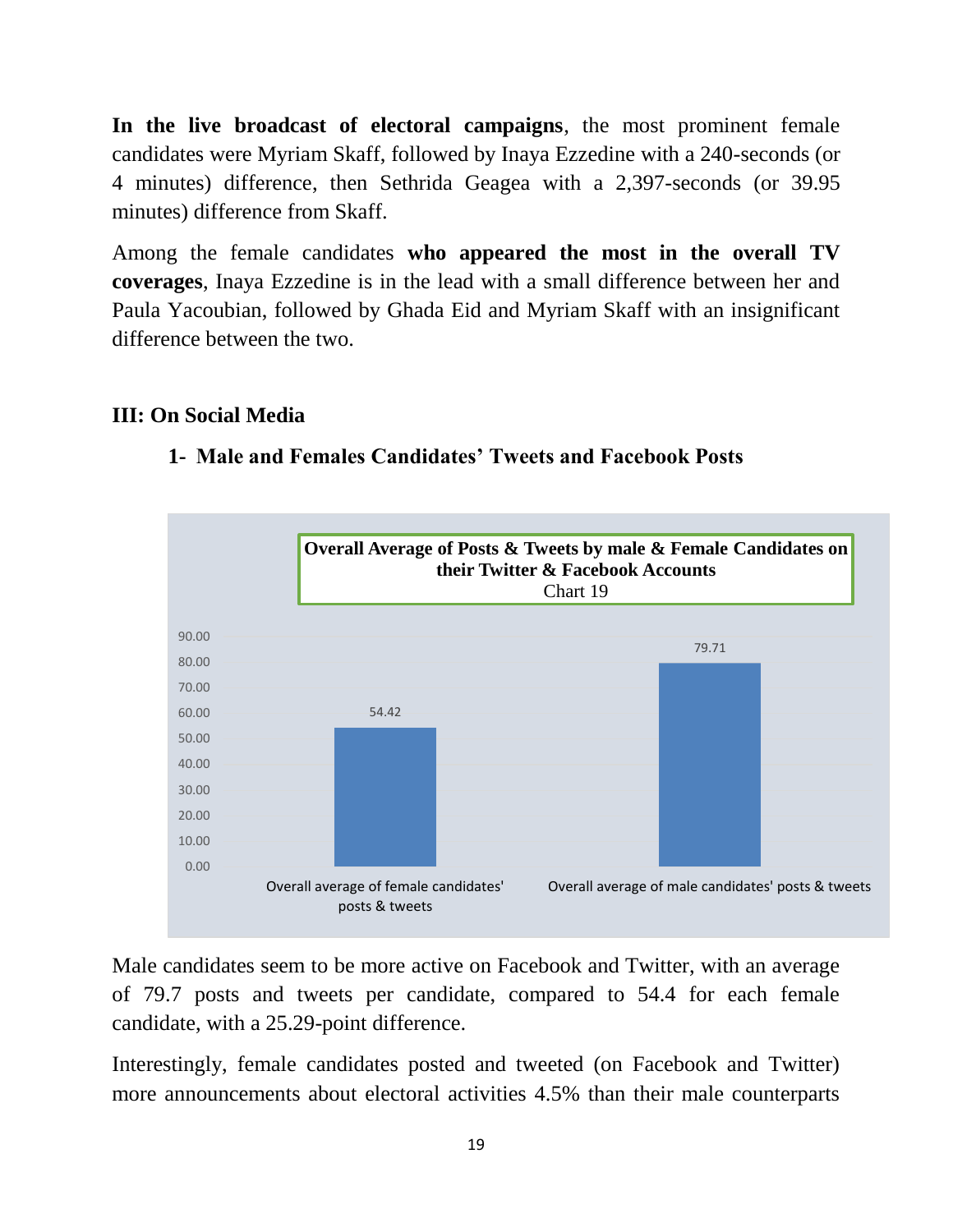**In the live broadcast of electoral campaigns**, the most prominent female candidates were Myriam Skaff, followed by Inaya Ezzedine with a 240-seconds (or 4 minutes) difference, then Sethrida Geagea with a 2,397-seconds (or 39.95 minutes) difference from Skaff.

Among the female candidates **who appeared the most in the overall TV coverages**, Inaya Ezzedine is in the lead with a small difference between her and Paula Yacoubian, followed by Ghada Eid and Myriam Skaff with an insignificant difference between the two.

#### **III: On Social Media**



#### **1- Male and Females Candidates' Tweets and Facebook Posts**

Male candidates seem to be more active on Facebook and Twitter, with an average of 79.7 posts and tweets per candidate, compared to 54.4 for each female candidate, with a 25.29-point difference.

Interestingly, female candidates posted and tweeted (on Facebook and Twitter) more announcements about electoral activities 4.5% than their male counterparts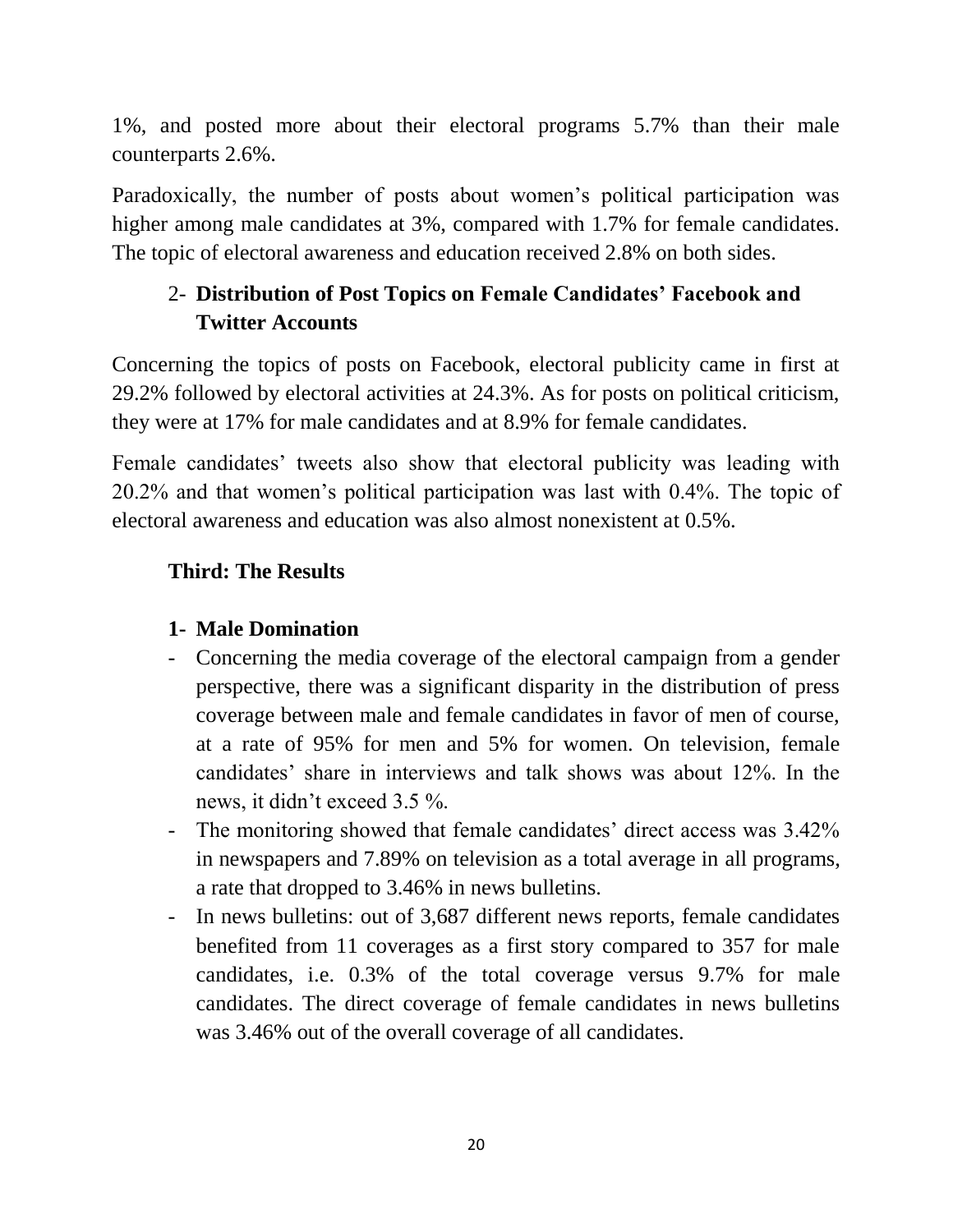1%, and posted more about their electoral programs 5.7% than their male counterparts 2.6%.

Paradoxically, the number of posts about women's political participation was higher among male candidates at 3%, compared with 1.7% for female candidates. The topic of electoral awareness and education received 2.8% on both sides.

## 2- **Distribution of Post Topics on Female Candidates' Facebook and Twitter Accounts**

Concerning the topics of posts on Facebook, electoral publicity came in first at 29.2% followed by electoral activities at 24.3%. As for posts on political criticism, they were at 17% for male candidates and at 8.9% for female candidates.

Female candidates' tweets also show that electoral publicity was leading with 20.2% and that women's political participation was last with 0.4%. The topic of electoral awareness and education was also almost nonexistent at 0.5%.

## **Third: The Results**

#### **1- Male Domination**

- Concerning the media coverage of the electoral campaign from a gender perspective, there was a significant disparity in the distribution of press coverage between male and female candidates in favor of men of course, at a rate of 95% for men and 5% for women. On television, female candidates' share in interviews and talk shows was about 12%. In the news, it didn't exceed 3.5 %.
- The monitoring showed that female candidates' direct access was  $3.42\%$ in newspapers and 7.89% on television as a total average in all programs, a rate that dropped to 3.46% in news bulletins.
- In news bulletins: out of 3,687 different news reports, female candidates benefited from 11 coverages as a first story compared to 357 for male candidates, i.e. 0.3% of the total coverage versus 9.7% for male candidates. The direct coverage of female candidates in news bulletins was 3.46% out of the overall coverage of all candidates.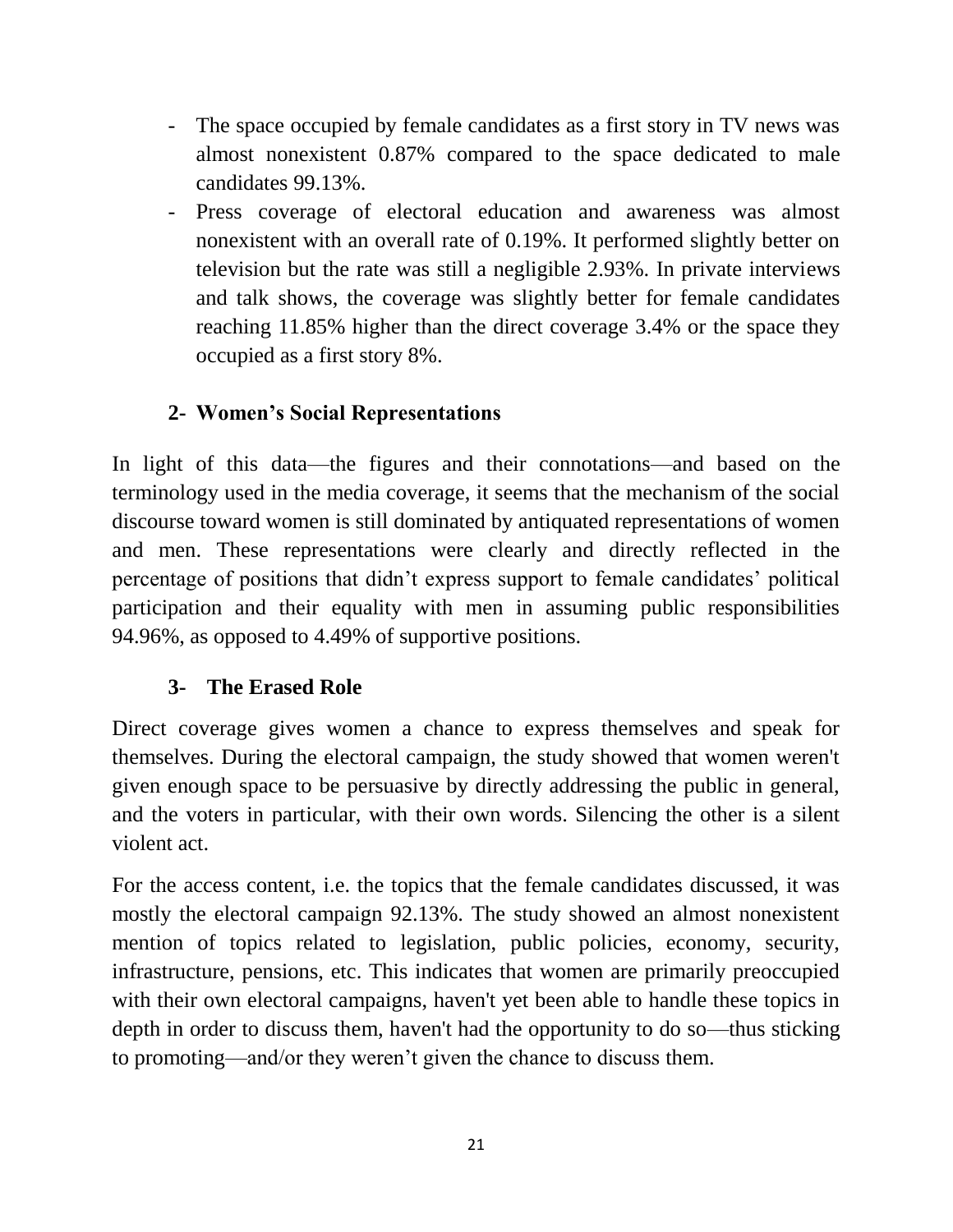- The space occupied by female candidates as a first story in TV news was almost nonexistent 0.87% compared to the space dedicated to male candidates 99.13%.
- Press coverage of electoral education and awareness was almost nonexistent with an overall rate of 0.19%. It performed slightly better on television but the rate was still a negligible 2.93%. In private interviews and talk shows, the coverage was slightly better for female candidates reaching 11.85% higher than the direct coverage 3.4% or the space they occupied as a first story 8%.

## **2- Women's Social Representations**

In light of this data—the figures and their connotations—and based on the terminology used in the media coverage, it seems that the mechanism of the social discourse toward women is still dominated by antiquated representations of women and men. These representations were clearly and directly reflected in the percentage of positions that didn't express support to female candidates' political participation and their equality with men in assuming public responsibilities 94.96%, as opposed to 4.49% of supportive positions.

## **3- The Erased Role**

Direct coverage gives women a chance to express themselves and speak for themselves. During the electoral campaign, the study showed that women weren't given enough space to be persuasive by directly addressing the public in general, and the voters in particular, with their own words. Silencing the other is a silent violent act.

For the access content, i.e. the topics that the female candidates discussed, it was mostly the electoral campaign 92.13%. The study showed an almost nonexistent mention of topics related to legislation, public policies, economy, security, infrastructure, pensions, etc. This indicates that women are primarily preoccupied with their own electoral campaigns, haven't yet been able to handle these topics in depth in order to discuss them, haven't had the opportunity to do so—thus sticking to promoting—and/or they weren't given the chance to discuss them.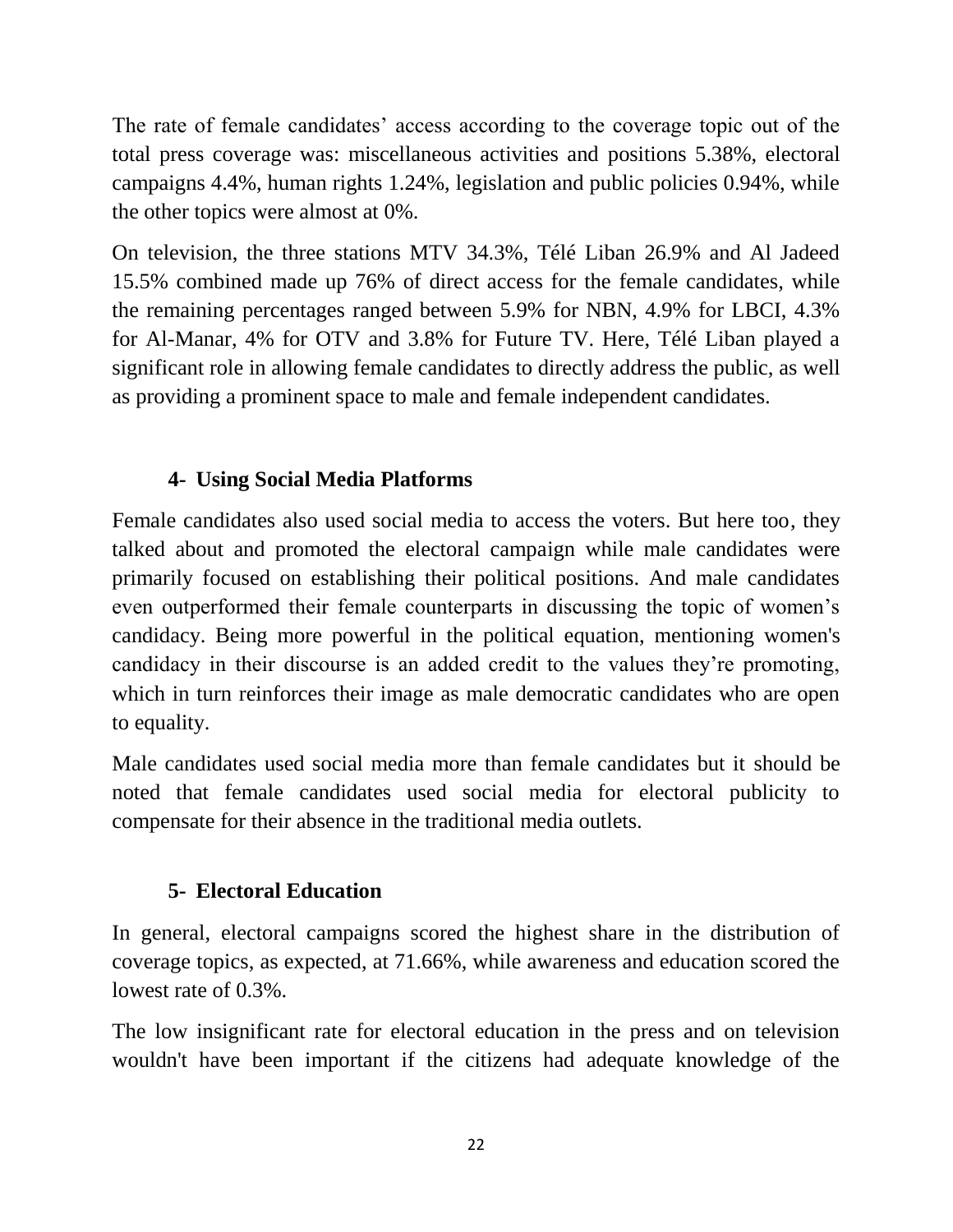The rate of female candidates' access according to the coverage topic out of the total press coverage was: miscellaneous activities and positions 5.38%, electoral campaigns 4.4%, human rights 1.24%, legislation and public policies 0.94%, while the other topics were almost at 0%.

On television, the three stations MTV 34.3%, Télé Liban 26.9% and Al Jadeed 15.5% combined made up 76% of direct access for the female candidates, while the remaining percentages ranged between 5.9% for NBN, 4.9% for LBCI, 4.3% for Al-Manar, 4% for OTV and 3.8% for Future TV. Here, Télé Liban played a significant role in allowing female candidates to directly address the public, as well as providing a prominent space to male and female independent candidates.

#### **4- Using Social Media Platforms**

Female candidates also used social media to access the voters. But here too, they talked about and promoted the electoral campaign while male candidates were primarily focused on establishing their political positions. And male candidates even outperformed their female counterparts in discussing the topic of women's candidacy. Being more powerful in the political equation, mentioning women's candidacy in their discourse is an added credit to the values they're promoting, which in turn reinforces their image as male democratic candidates who are open to equality.

Male candidates used social media more than female candidates but it should be noted that female candidates used social media for electoral publicity to compensate for their absence in the traditional media outlets.

#### **5- Electoral Education**

In general, electoral campaigns scored the highest share in the distribution of coverage topics, as expected, at 71.66%, while awareness and education scored the lowest rate of 0.3%.

The low insignificant rate for electoral education in the press and on television wouldn't have been important if the citizens had adequate knowledge of the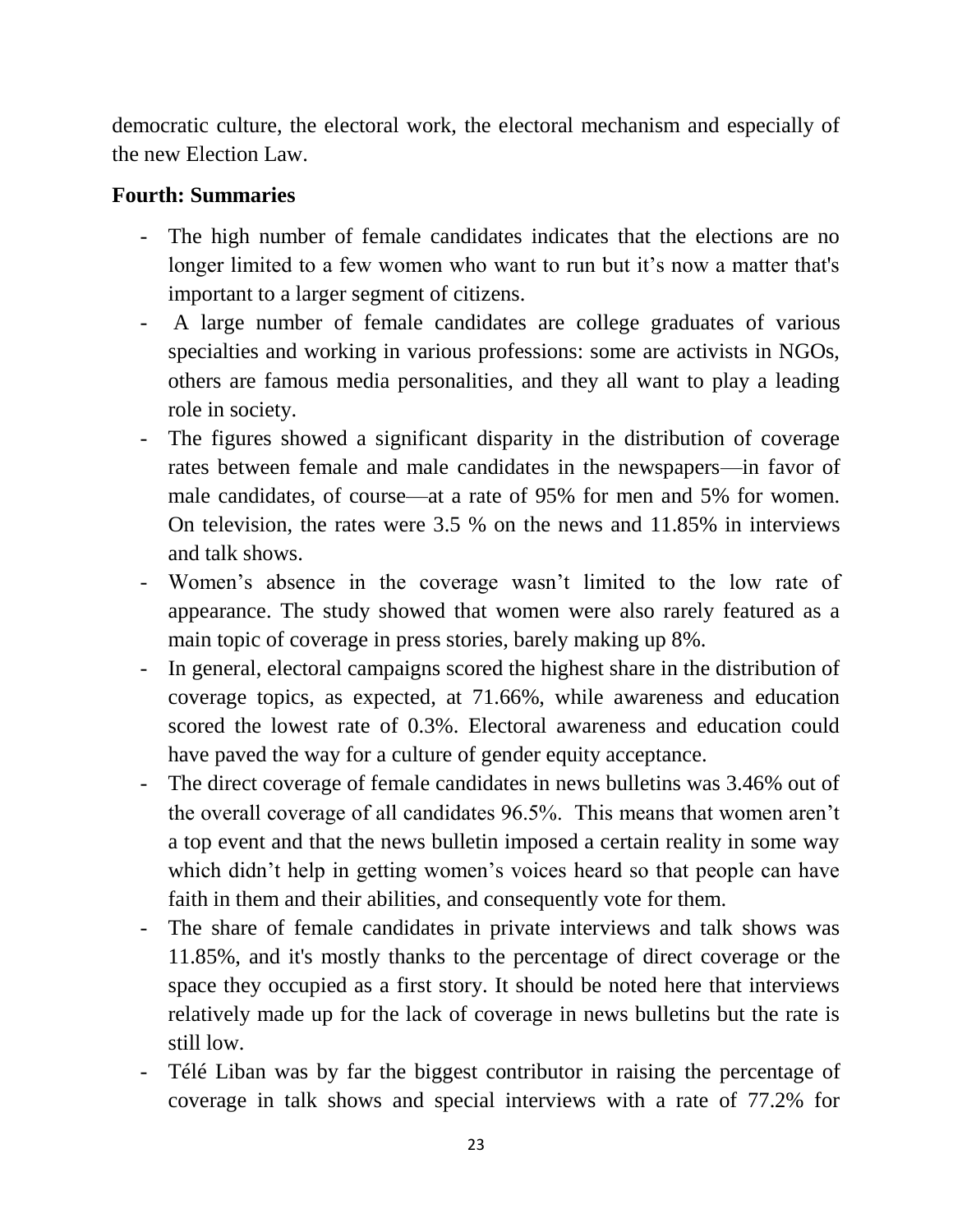democratic culture, the electoral work, the electoral mechanism and especially of the new Election Law.

#### **Fourth: Summaries**

- The high number of female candidates indicates that the elections are no longer limited to a few women who want to run but it's now a matter that's important to a larger segment of citizens.
- A large number of female candidates are college graduates of various specialties and working in various professions: some are activists in NGOs, others are famous media personalities, and they all want to play a leading role in society.
- The figures showed a significant disparity in the distribution of coverage rates between female and male candidates in the newspapers—in favor of male candidates, of course—at a rate of 95% for men and 5% for women. On television, the rates were 3.5 % on the news and 11.85% in interviews and talk shows.
- Women's absence in the coverage wasn't limited to the low rate of appearance. The study showed that women were also rarely featured as a main topic of coverage in press stories, barely making up 8%.
- In general, electoral campaigns scored the highest share in the distribution of coverage topics, as expected, at 71.66%, while awareness and education scored the lowest rate of 0.3%. Electoral awareness and education could have paved the way for a culture of gender equity acceptance.
- The direct coverage of female candidates in news bulletins was 3.46% out of the overall coverage of all candidates 96.5%. This means that women aren't a top event and that the news bulletin imposed a certain reality in some way which didn't help in getting women's voices heard so that people can have faith in them and their abilities, and consequently vote for them.
- The share of female candidates in private interviews and talk shows was 11.85%, and it's mostly thanks to the percentage of direct coverage or the space they occupied as a first story. It should be noted here that interviews relatively made up for the lack of coverage in news bulletins but the rate is still low.
- Télé Liban was by far the biggest contributor in raising the percentage of coverage in talk shows and special interviews with a rate of 77.2% for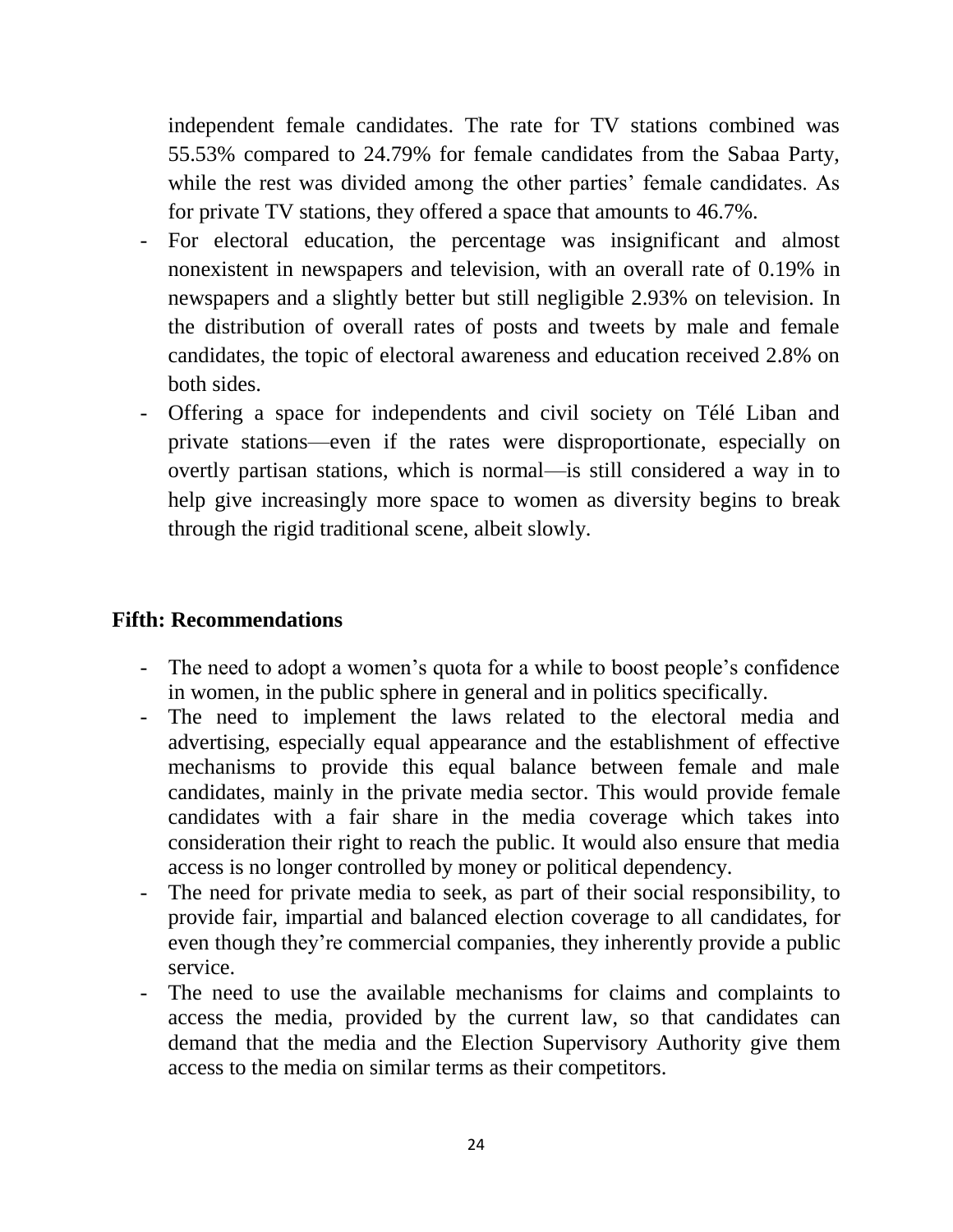independent female candidates. The rate for TV stations combined was 55.53% compared to 24.79% for female candidates from the Sabaa Party, while the rest was divided among the other parties' female candidates. As for private TV stations, they offered a space that amounts to 46.7%.

- For electoral education, the percentage was insignificant and almost nonexistent in newspapers and television, with an overall rate of 0.19% in newspapers and a slightly better but still negligible 2.93% on television. In the distribution of overall rates of posts and tweets by male and female candidates, the topic of electoral awareness and education received 2.8% on both sides.
- Offering a space for independents and civil society on Télé Liban and private stations—even if the rates were disproportionate, especially on overtly partisan stations, which is normal—is still considered a way in to help give increasingly more space to women as diversity begins to break through the rigid traditional scene, albeit slowly.

#### **Fifth: Recommendations**

- The need to adopt a women's quota for a while to boost people's confidence in women, in the public sphere in general and in politics specifically.
- The need to implement the laws related to the electoral media and advertising, especially equal appearance and the establishment of effective mechanisms to provide this equal balance between female and male candidates, mainly in the private media sector. This would provide female candidates with a fair share in the media coverage which takes into consideration their right to reach the public. It would also ensure that media access is no longer controlled by money or political dependency.
- The need for private media to seek, as part of their social responsibility, to provide fair, impartial and balanced election coverage to all candidates, for even though they're commercial companies, they inherently provide a public service.
- The need to use the available mechanisms for claims and complaints to access the media, provided by the current law, so that candidates can demand that the media and the Election Supervisory Authority give them access to the media on similar terms as their competitors.